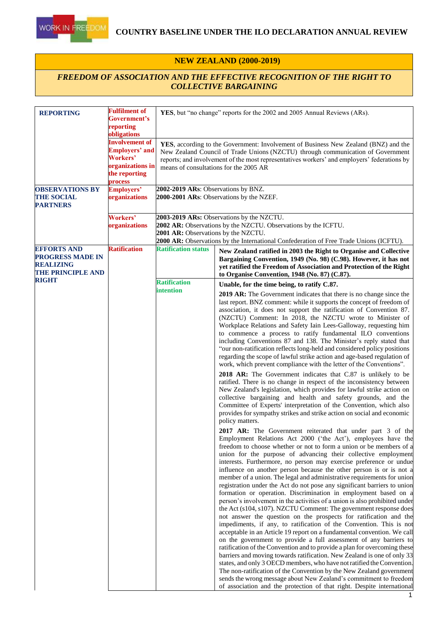

#### **NEW ZEALAND (2000-2019)**

#### *FREEDOM OF ASSOCIATION AND THE EFFECTIVE RECOGNITION OF THE RIGHT TO COLLECTIVE BARGAINING*

| <b>REPORTING</b>                                                                              | <b>Fulfilment of</b><br>Government's<br>reporting<br>obligations                                                  | YES, but "no change" reports for the 2002 and 2005 Annual Reviews (ARs).                                                                                                                                                                                                                                        |                                                                                                                                                                                                                                                                                                                                                                                                                                                                                                                                                                                                                                                                                                                                                                                                                                                                                                                                                                                                                                                                                                                                                                                                                                                                                                                                                                                                                                                                                                                                                                                                                                                                                                                                                                                                                                                                                                                                                                                                                                                                                                                                                                                                                                                                                                                                                                                                                                                                                                                                                                                                                                                                                                                                                                                                  |  |
|-----------------------------------------------------------------------------------------------|-------------------------------------------------------------------------------------------------------------------|-----------------------------------------------------------------------------------------------------------------------------------------------------------------------------------------------------------------------------------------------------------------------------------------------------------------|--------------------------------------------------------------------------------------------------------------------------------------------------------------------------------------------------------------------------------------------------------------------------------------------------------------------------------------------------------------------------------------------------------------------------------------------------------------------------------------------------------------------------------------------------------------------------------------------------------------------------------------------------------------------------------------------------------------------------------------------------------------------------------------------------------------------------------------------------------------------------------------------------------------------------------------------------------------------------------------------------------------------------------------------------------------------------------------------------------------------------------------------------------------------------------------------------------------------------------------------------------------------------------------------------------------------------------------------------------------------------------------------------------------------------------------------------------------------------------------------------------------------------------------------------------------------------------------------------------------------------------------------------------------------------------------------------------------------------------------------------------------------------------------------------------------------------------------------------------------------------------------------------------------------------------------------------------------------------------------------------------------------------------------------------------------------------------------------------------------------------------------------------------------------------------------------------------------------------------------------------------------------------------------------------------------------------------------------------------------------------------------------------------------------------------------------------------------------------------------------------------------------------------------------------------------------------------------------------------------------------------------------------------------------------------------------------------------------------------------------------------------------------------------------------|--|
|                                                                                               | <b>Involvement of</b><br><b>Employers' and</b><br><b>Workers'</b><br>organizations in<br>the reporting<br>process | YES, according to the Government: Involvement of Business New Zealand (BNZ) and the<br>New Zealand Council of Trade Unions (NZCTU) through communication of Government<br>reports; and involvement of the most representatives workers' and employers' federations by<br>means of consultations for the 2005 AR |                                                                                                                                                                                                                                                                                                                                                                                                                                                                                                                                                                                                                                                                                                                                                                                                                                                                                                                                                                                                                                                                                                                                                                                                                                                                                                                                                                                                                                                                                                                                                                                                                                                                                                                                                                                                                                                                                                                                                                                                                                                                                                                                                                                                                                                                                                                                                                                                                                                                                                                                                                                                                                                                                                                                                                                                  |  |
| <b>OBSERVATIONS BY</b><br><b>THE SOCIAL</b><br><b>PARTNERS</b>                                | <b>Employers'</b><br>organizations                                                                                | 2002-2019 ARs: Observations by BNZ.<br>2000-2001 ARs: Observations by the NZEF.                                                                                                                                                                                                                                 |                                                                                                                                                                                                                                                                                                                                                                                                                                                                                                                                                                                                                                                                                                                                                                                                                                                                                                                                                                                                                                                                                                                                                                                                                                                                                                                                                                                                                                                                                                                                                                                                                                                                                                                                                                                                                                                                                                                                                                                                                                                                                                                                                                                                                                                                                                                                                                                                                                                                                                                                                                                                                                                                                                                                                                                                  |  |
|                                                                                               | Workers'<br>organizations                                                                                         | 2003-2019 ARs: Observations by the NZCTU.<br>2002 AR: Observations by the NZCTU. Observations by the ICFTU.<br><b>2001 AR:</b> Observations by the NZCTU.<br>2000 AR: Observations by the International Confederation of Free Trade Unions (ICFTU).                                                             |                                                                                                                                                                                                                                                                                                                                                                                                                                                                                                                                                                                                                                                                                                                                                                                                                                                                                                                                                                                                                                                                                                                                                                                                                                                                                                                                                                                                                                                                                                                                                                                                                                                                                                                                                                                                                                                                                                                                                                                                                                                                                                                                                                                                                                                                                                                                                                                                                                                                                                                                                                                                                                                                                                                                                                                                  |  |
| <b>EFFORTS AND</b><br><b>PROGRESS MADE IN</b><br><b>REALIZING</b><br><b>THE PRINCIPLE AND</b> | <b>Ratification</b>                                                                                               | <b>Ratification status</b>                                                                                                                                                                                                                                                                                      | New Zealand ratified in 2003 the Right to Organise and Collective<br>Bargaining Convention, 1949 (No. 98) (C.98). However, it has not<br>yet ratified the Freedom of Association and Protection of the Right<br>to Organise Convention, 1948 (No. 87) (C.87).                                                                                                                                                                                                                                                                                                                                                                                                                                                                                                                                                                                                                                                                                                                                                                                                                                                                                                                                                                                                                                                                                                                                                                                                                                                                                                                                                                                                                                                                                                                                                                                                                                                                                                                                                                                                                                                                                                                                                                                                                                                                                                                                                                                                                                                                                                                                                                                                                                                                                                                                    |  |
| <b>RIGHT</b>                                                                                  |                                                                                                                   | <b>Ratification</b><br>intention                                                                                                                                                                                                                                                                                | Unable, for the time being, to ratify C.87.<br><b>2019 AR:</b> The Government indicates that there is no change since the<br>last report. BNZ comment: while it supports the concept of freedom of<br>association, it does not support the ratification of Convention 87.<br>(NZCTU) Comment: In 2018, the NZCTU wrote to Minister of<br>Workplace Relations and Safety Iain Lees-Galloway, requesting him<br>to commence a process to ratify fundamental ILO conventions<br>including Conventions 87 and 138. The Minister's reply stated that<br>"our non-ratification reflects long-held and considered policy positions<br>regarding the scope of lawful strike action and age-based regulation of<br>work, which prevent compliance with the letter of the Conventions".<br>2018 AR: The Government indicates that C.87 is unlikely to be<br>ratified. There is no change in respect of the inconsistency between<br>New Zealand's legislation, which provides for lawful strike action on<br>collective bargaining and health and safety grounds, and the<br>Committee of Experts' interpretation of the Convention, which also<br>provides for sympathy strikes and strike action on social and economic<br>policy matters.<br><b>2017 AR:</b> The Government reiterated that under part 3 of the<br>Employment Relations Act 2000 ('the Act'), employees have the<br>freedom to choose whether or not to form a union or be members of a<br>union for the purpose of advancing their collective employment<br>interests. Furthermore, no person may exercise preference or undue<br>influence on another person because the other person is or is not a<br>member of a union. The legal and administrative requirements for union<br>registration under the Act do not pose any significant barriers to union<br>formation or operation. Discrimination in employment based on a<br>person's involvement in the activities of a union is also prohibited under<br>the Act (s104, s107). NZCTU Comment: The government response does<br>not answer the question on the prospects for ratification and the<br>impediments, if any, to ratification of the Convention. This is not<br>acceptable in an Article 19 report on a fundamental convention. We call<br>on the government to provide a full assessment of any barriers to<br>ratification of the Convention and to provide a plan for overcoming these<br>barriers and moving towards ratification. New Zealand is one of only 33<br>states, and only 3 OECD members, who have not ratified the Convention.<br>The non-ratification of the Convention by the New Zealand government<br>sends the wrong message about New Zealand's commitment to freedom<br>of association and the protection of that right. Despite international |  |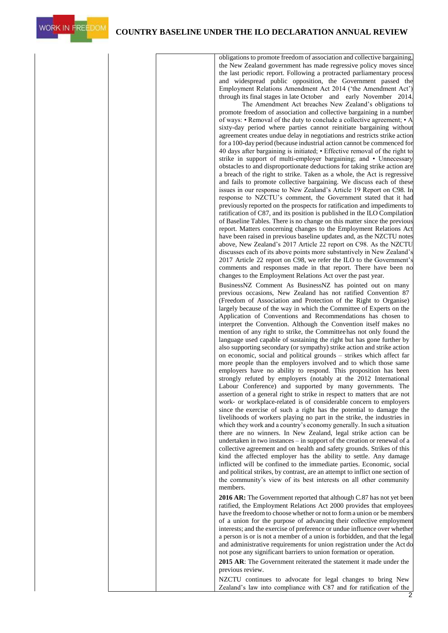**WORK IN FREEDOM** 

obligations to promote freedom of association and collective bargaining, the New Zealand government has made regressive policy moves since the last periodic report. Following a protracted parliamentary process and widespread public opposition, the Government passed the Employment Relations Amendment Act 2014 ('the Amendment Act') through its final stages in late October and early November 2014.

The Amendment Act breaches New Zealand's obligations to promote freedom of association and collective bargaining in a number of ways: • Removal of the duty to conclude a collective agreement; • A sixty-day period where parties cannot reinitiate bargaining without agreement creates undue delay in negotiations and restricts strike action for a 100-day period (because industrial action cannot be commenced for 40 days after bargaining is initiated; • Effective removal of the right to strike in support of multi-employer bargaining; and • Unnecessary obstacles to and disproportionate deductions for taking strike action are a breach of the right to strike. Taken as a whole, the Act is regressive and fails to promote collective bargaining. We discuss each of these issues in our response to New Zealand's Article 19 Report on C98. In response to NZCTU's comment, the Government stated that it had previously reported on the prospects for ratification and impediments to ratification of C87, and its position is published in the ILO Compilation of Baseline Tables. There is no change on this matter since the previous report. Matters concerning changes to the Employment Relations Act have been raised in previous baseline updates and, as the NZCTU notes above, New Zealand's 2017 Article 22 report on C98. As the NZCTU discusses each of its above points more substantively in New Zealand's 2017 Article 22 report on C98, we refer the ILO to the Government's comments and responses made in that report. There have been no changes to the Employment Relations Act over the past year.

BusinessNZ Comment As BusinessNZ has pointed out on many previous occasions, New Zealand has not ratified Convention 87 (Freedom of Association and Protection of the Right to Organise) largely because of the way in which the Committee of Experts on the Application of Conventions and Recommendations has chosen to interpret the Convention. Although the Convention itself makes no mention of any right to strike, the Committeehas not only found the language used capable of sustaining the right but has gone further by also supporting secondary (or sympathy) strike action and strike action on economic, social and political grounds – strikes which affect far more people than the employers involved and to which those same employers have no ability to respond. This proposition has been strongly refuted by employers (notably at the 2012 International Labour Conference) and supported by many governments. The assertion of a general right to strike in respect to matters that are not work- or workplace-related is of considerable concern to employers since the exercise of such a right has the potential to damage the livelihoods of workers playing no part in the strike, the industries in which they work and a country's economy generally. In such a situation there are no winners. In New Zealand, legal strike action can be undertaken in two instances – in support of the creation or renewal of a collective agreement and on health and safety grounds. Strikes of this kind the affected employer has the ability to settle. Any damage inflicted will be confined to the immediate parties. Economic, social and political strikes, by contrast, are an attempt to inflict one section of the community's view of its best interests on all other community members.

**2016 AR:** The Government reported that although C.87 has not yet been ratified, the Employment Relations Act 2000 provides that employees have the freedomto choose whether or not to forma union or be members of a union for the purpose of advancing their collective employment interests; and the exercise of preference or undue influence over whether a person is or is not a member of a union is forbidden, and that the legal and administrative requirements for union registration under the Act do not pose any significant barriers to union formation or operation.

**2015 AR**: The Government reiterated the statement it made under the previous review.

NZCTU continues to advocate for legal changes to bring New Zealand's law into compliance with C87 and for ratification of the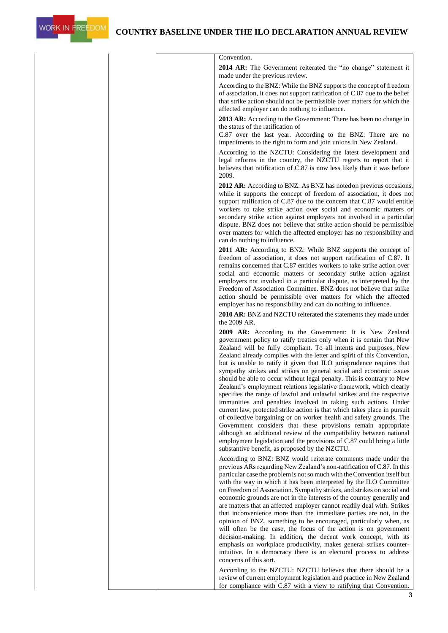

| Convention.<br>2014 AR: The Government reiterated the "no change" statement it                                                                                                                                                                                                                                                                                                                                                                                                                                                                                                                                                                                                                                                                                                                                                                                                                                                                                                                                                                                                                                                                                                                                                                                                                                                                                                                                                                      |
|-----------------------------------------------------------------------------------------------------------------------------------------------------------------------------------------------------------------------------------------------------------------------------------------------------------------------------------------------------------------------------------------------------------------------------------------------------------------------------------------------------------------------------------------------------------------------------------------------------------------------------------------------------------------------------------------------------------------------------------------------------------------------------------------------------------------------------------------------------------------------------------------------------------------------------------------------------------------------------------------------------------------------------------------------------------------------------------------------------------------------------------------------------------------------------------------------------------------------------------------------------------------------------------------------------------------------------------------------------------------------------------------------------------------------------------------------------|
| made under the previous review.                                                                                                                                                                                                                                                                                                                                                                                                                                                                                                                                                                                                                                                                                                                                                                                                                                                                                                                                                                                                                                                                                                                                                                                                                                                                                                                                                                                                                     |
| According to the BNZ: While the BNZ supports the concept of freedom<br>of association, it does not support ratification of C.87 due to the belief<br>that strike action should not be permissible over matters for which the<br>affected employer can do nothing to influence.                                                                                                                                                                                                                                                                                                                                                                                                                                                                                                                                                                                                                                                                                                                                                                                                                                                                                                                                                                                                                                                                                                                                                                      |
| 2013 AR: According to the Government: There has been no change in<br>the status of the ratification of                                                                                                                                                                                                                                                                                                                                                                                                                                                                                                                                                                                                                                                                                                                                                                                                                                                                                                                                                                                                                                                                                                                                                                                                                                                                                                                                              |
| C.87 over the last year. According to the BNZ: There are no<br>impediments to the right to form and join unions in New Zealand.                                                                                                                                                                                                                                                                                                                                                                                                                                                                                                                                                                                                                                                                                                                                                                                                                                                                                                                                                                                                                                                                                                                                                                                                                                                                                                                     |
| According to the NZCTU: Considering the latest development and<br>legal reforms in the country, the NZCTU regrets to report that it<br>believes that ratification of C.87 is now less likely than it was before<br>2009.                                                                                                                                                                                                                                                                                                                                                                                                                                                                                                                                                                                                                                                                                                                                                                                                                                                                                                                                                                                                                                                                                                                                                                                                                            |
| 2012 AR: According to BNZ: As BNZ has noted on previous occasions,                                                                                                                                                                                                                                                                                                                                                                                                                                                                                                                                                                                                                                                                                                                                                                                                                                                                                                                                                                                                                                                                                                                                                                                                                                                                                                                                                                                  |
| while it supports the concept of freedom of association, it does not<br>support ratification of C.87 due to the concern that C.87 would entitle<br>workers to take strike action over social and economic matters or<br>secondary strike action against employers not involved in a particular<br>dispute. BNZ does not believe that strike action should be permissible<br>over matters for which the affected employer has no responsibility and<br>can do nothing to influence.                                                                                                                                                                                                                                                                                                                                                                                                                                                                                                                                                                                                                                                                                                                                                                                                                                                                                                                                                                  |
| 2011 AR: According to BNZ: While BNZ supports the concept of<br>freedom of association, it does not support ratification of C.87. It<br>remains concerned that C.87 entitles workers to take strike action over<br>social and economic matters or secondary strike action against<br>employers not involved in a particular dispute, as interpreted by the<br>Freedom of Association Committee. BNZ does not believe that strike<br>action should be permissible over matters for which the affected<br>employer has no responsibility and can do nothing to influence.                                                                                                                                                                                                                                                                                                                                                                                                                                                                                                                                                                                                                                                                                                                                                                                                                                                                             |
| 2010 AR: BNZ and NZCTU reiterated the statements they made under<br>the 2009 AR.                                                                                                                                                                                                                                                                                                                                                                                                                                                                                                                                                                                                                                                                                                                                                                                                                                                                                                                                                                                                                                                                                                                                                                                                                                                                                                                                                                    |
| 2009 AR: According to the Government: It is New Zealand<br>government policy to ratify treaties only when it is certain that New<br>Zealand will be fully compliant. To all intents and purposes, New<br>Zealand already complies with the letter and spirit of this Convention,<br>but is unable to ratify it given that ILO jurisprudence requires that<br>sympathy strikes and strikes on general social and economic issues<br>should be able to occur without legal penalty. This is contrary to New<br>Zealand's employment relations legislative framework, which clearly<br>specifies the range of lawful and unlawful strikes and the respective<br>immunities and penalties involved in taking such actions. Under<br>current law, protected strike action is that which takes place in pursuit<br>of collective bargaining or on worker health and safety grounds. The<br>Government considers that these provisions remain appropriate<br>although an additional review of the compatibility between national<br>employment legislation and the provisions of C.87 could bring a little<br>substantive benefit, as proposed by the NZCTU.<br>According to BNZ: BNZ would reiterate comments made under the<br>previous ARs regarding New Zealand's non-ratification of C.87. In this<br>particular case the problem is not so much with the Convention itself but<br>with the way in which it has been interpreted by the ILO Committee |
| on Freedom of Association. Sympathy strikes, and strikes on social and<br>economic grounds are not in the interests of the country generally and<br>are matters that an affected employer cannot readily deal with. Strikes<br>that inconvenience more than the immediate parties are not, in the<br>opinion of BNZ, something to be encouraged, particularly when, as<br>will often be the case, the focus of the action is on government<br>decision-making. In addition, the decent work concept, with its<br>emphasis on workplace productivity, makes general strikes counter-<br>intuitive. In a democracy there is an electoral process to address<br>concerns of this sort.                                                                                                                                                                                                                                                                                                                                                                                                                                                                                                                                                                                                                                                                                                                                                                 |
| According to the NZCTU: NZCTU believes that there should be a<br>review of current employment legislation and practice in New Zealand<br>for compliance with C.87 with a view to ratifying that Convention.                                                                                                                                                                                                                                                                                                                                                                                                                                                                                                                                                                                                                                                                                                                                                                                                                                                                                                                                                                                                                                                                                                                                                                                                                                         |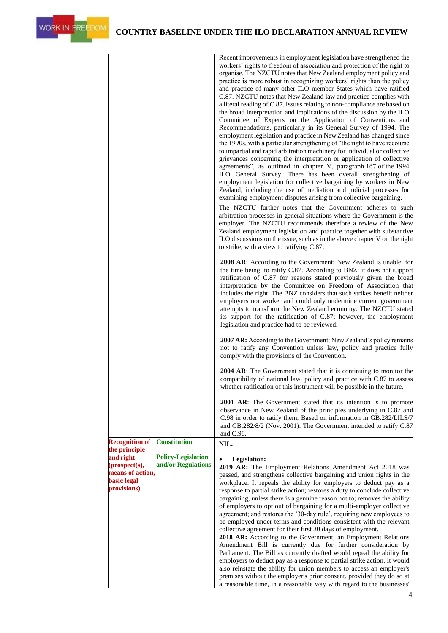

|                                        |                           | Recent improvements in employment legislation have strengthened the<br>workers' rights to freedom of association and protection of the right to<br>organise. The NZCTU notes that New Zealand employment policy and<br>practice is more robust in recognizing workers' rights than the policy<br>and practice of many other ILO member States which have ratified<br>C.87. NZCTU notes that New Zealand law and practice complies with<br>a literal reading of C.87. Issues relating to non-compliance are based on<br>the broad interpretation and implications of the discussion by the ILO<br>Committee of Experts on the Application of Conventions and<br>Recommendations, particularly in its General Survey of 1994. The<br>employment legislation and practice in New Zealand has changed since<br>the 1990s, with a particular strengthening of "the right to have recourse"<br>to impartial and rapid arbitration machinery for individual or collective<br>grievances concerning the interpretation or application of collective<br>agreements", as outlined in chapter V, paragraph 167 of the 1994<br>ILO General Survey. There has been overall strengthening of<br>employment legislation for collective bargaining by workers in New<br>Zealand, including the use of mediation and judicial processes for<br>examining employment disputes arising from collective bargaining.<br>The NZCTU further notes that the Government adheres to such<br>arbitration processes in general situations where the Government is the<br>employer. The NZCTU recommends therefore a review of the New<br>Zealand employment legislation and practice together with substantive<br>ILO discussions on the issue, such as in the above chapter V on the right<br>to strike, with a view to ratifying C.87.<br>2008 AR: According to the Government: New Zealand is unable, for<br>the time being, to ratify C.87. According to BNZ: it does not support<br>ratification of C.87 for reasons stated previously given the broad<br>interpretation by the Committee on Freedom of Association that<br>includes the right. The BNZ considers that such strikes benefit neither<br>employers nor worker and could only undermine current government<br>attempts to transform the New Zealand economy. The NZCTU stated<br>its support for the ratification of C.87; however, the employment<br>legislation and practice had to be reviewed. |
|----------------------------------------|---------------------------|------------------------------------------------------------------------------------------------------------------------------------------------------------------------------------------------------------------------------------------------------------------------------------------------------------------------------------------------------------------------------------------------------------------------------------------------------------------------------------------------------------------------------------------------------------------------------------------------------------------------------------------------------------------------------------------------------------------------------------------------------------------------------------------------------------------------------------------------------------------------------------------------------------------------------------------------------------------------------------------------------------------------------------------------------------------------------------------------------------------------------------------------------------------------------------------------------------------------------------------------------------------------------------------------------------------------------------------------------------------------------------------------------------------------------------------------------------------------------------------------------------------------------------------------------------------------------------------------------------------------------------------------------------------------------------------------------------------------------------------------------------------------------------------------------------------------------------------------------------------------------------------------------------------------------------------------------------------------------------------------------------------------------------------------------------------------------------------------------------------------------------------------------------------------------------------------------------------------------------------------------------------------------------------------------------------------------------------------------------------------------------------------------------------------------------------|
|                                        |                           | 2007 AR: According to the Government: New Zealand's policy remains<br>not to ratify any Convention unless law, policy and practice fully<br>comply with the provisions of the Convention.<br><b>2004 AR:</b> The Government stated that it is continuing to monitor the                                                                                                                                                                                                                                                                                                                                                                                                                                                                                                                                                                                                                                                                                                                                                                                                                                                                                                                                                                                                                                                                                                                                                                                                                                                                                                                                                                                                                                                                                                                                                                                                                                                                                                                                                                                                                                                                                                                                                                                                                                                                                                                                                                  |
|                                        |                           | compatibility of national law, policy and practice with C.87 to assess<br>whether ratification of this instrument will be possible in the future                                                                                                                                                                                                                                                                                                                                                                                                                                                                                                                                                                                                                                                                                                                                                                                                                                                                                                                                                                                                                                                                                                                                                                                                                                                                                                                                                                                                                                                                                                                                                                                                                                                                                                                                                                                                                                                                                                                                                                                                                                                                                                                                                                                                                                                                                         |
|                                        |                           | 2001 AR: The Government stated that its intention is to promote<br>observance in New Zealand of the principles underlying in C.87 and<br>C.98 in order to ratify them. Based on information in GB.282/LILS/7<br>and GB.282/8/2 (Nov. 2001): The Government intended to ratify C.87<br>and C.98.                                                                                                                                                                                                                                                                                                                                                                                                                                                                                                                                                                                                                                                                                                                                                                                                                                                                                                                                                                                                                                                                                                                                                                                                                                                                                                                                                                                                                                                                                                                                                                                                                                                                                                                                                                                                                                                                                                                                                                                                                                                                                                                                          |
| <b>Recognition of</b><br>the principle | <b>Constitution</b>       | NIL.                                                                                                                                                                                                                                                                                                                                                                                                                                                                                                                                                                                                                                                                                                                                                                                                                                                                                                                                                                                                                                                                                                                                                                                                                                                                                                                                                                                                                                                                                                                                                                                                                                                                                                                                                                                                                                                                                                                                                                                                                                                                                                                                                                                                                                                                                                                                                                                                                                     |
| and right                              | <b>Policy-Legislation</b> | <b>Legislation:</b><br>$\bullet$                                                                                                                                                                                                                                                                                                                                                                                                                                                                                                                                                                                                                                                                                                                                                                                                                                                                                                                                                                                                                                                                                                                                                                                                                                                                                                                                                                                                                                                                                                                                                                                                                                                                                                                                                                                                                                                                                                                                                                                                                                                                                                                                                                                                                                                                                                                                                                                                         |
| (prospect(s),<br>means of action,      | and/or Regulations        | 2019 AR: The Employment Relations Amendment Act 2018 was                                                                                                                                                                                                                                                                                                                                                                                                                                                                                                                                                                                                                                                                                                                                                                                                                                                                                                                                                                                                                                                                                                                                                                                                                                                                                                                                                                                                                                                                                                                                                                                                                                                                                                                                                                                                                                                                                                                                                                                                                                                                                                                                                                                                                                                                                                                                                                                 |
| <b>basic</b> legal                     |                           | passed, and strengthens collective bargaining and union rights in the<br>workplace. It repeals the ability for employers to deduct pay as a                                                                                                                                                                                                                                                                                                                                                                                                                                                                                                                                                                                                                                                                                                                                                                                                                                                                                                                                                                                                                                                                                                                                                                                                                                                                                                                                                                                                                                                                                                                                                                                                                                                                                                                                                                                                                                                                                                                                                                                                                                                                                                                                                                                                                                                                                              |
| provisions)                            |                           | response to partial strike action; restores a duty to conclude collective<br>bargaining, unless there is a genuine reason not to; removes the ability<br>of employers to opt out of bargaining for a multi-employer collective<br>agreement; and restores the '30-day rule', requiring new employees to<br>be employed under terms and conditions consistent with the relevant<br>collective agreement for their first 30 days of employment.<br>2018 AR: According to the Government, an Employment Relations<br>Amendment Bill is currently due for further consideration by<br>Parliament. The Bill as currently drafted would repeal the ability for<br>employers to deduct pay as a response to partial strike action. It would<br>also reinstate the ability for union members to access an employer's                                                                                                                                                                                                                                                                                                                                                                                                                                                                                                                                                                                                                                                                                                                                                                                                                                                                                                                                                                                                                                                                                                                                                                                                                                                                                                                                                                                                                                                                                                                                                                                                                             |
|                                        |                           | premises without the employer's prior consent, provided they do so at<br>a reasonable time, in a reasonable way with regard to the businesses'                                                                                                                                                                                                                                                                                                                                                                                                                                                                                                                                                                                                                                                                                                                                                                                                                                                                                                                                                                                                                                                                                                                                                                                                                                                                                                                                                                                                                                                                                                                                                                                                                                                                                                                                                                                                                                                                                                                                                                                                                                                                                                                                                                                                                                                                                           |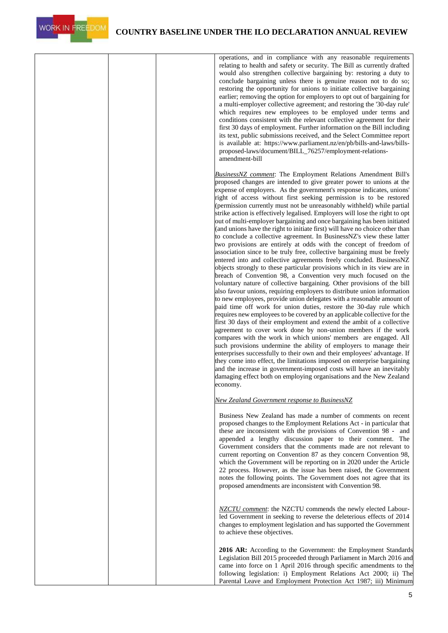



|  | operations, and in compliance with any reasonable requirements<br>relating to health and safety or security. The Bill as currently drafted<br>would also strengthen collective bargaining by: restoring a duty to<br>conclude bargaining unless there is genuine reason not to do so;<br>restoring the opportunity for unions to initiate collective bargaining<br>earlier; removing the option for employers to opt out of bargaining for<br>a multi-employer collective agreement; and restoring the '30-day rule'<br>which requires new employees to be employed under terms and<br>conditions consistent with the relevant collective agreement for their<br>first 30 days of employment. Further information on the Bill including<br>its text, public submissions received, and the Select Committee report<br>is available at: https://www.parliament.nz/en/pb/bills-and-laws/bills-<br>proposed-laws/document/BILL_76257/employment-relations-<br>amendment-bill                                                                                                                                                                                                                                                                                                                                                                                                                                                                                                                                                                                                                                                                                                                                                                                                                                                                                                                                                                                                                                                                                 |
|--|----------------------------------------------------------------------------------------------------------------------------------------------------------------------------------------------------------------------------------------------------------------------------------------------------------------------------------------------------------------------------------------------------------------------------------------------------------------------------------------------------------------------------------------------------------------------------------------------------------------------------------------------------------------------------------------------------------------------------------------------------------------------------------------------------------------------------------------------------------------------------------------------------------------------------------------------------------------------------------------------------------------------------------------------------------------------------------------------------------------------------------------------------------------------------------------------------------------------------------------------------------------------------------------------------------------------------------------------------------------------------------------------------------------------------------------------------------------------------------------------------------------------------------------------------------------------------------------------------------------------------------------------------------------------------------------------------------------------------------------------------------------------------------------------------------------------------------------------------------------------------------------------------------------------------------------------------------------------------------------------------------------------------------------------------------|
|  | <b>BusinessNZ</b> comment: The Employment Relations Amendment Bill's<br>proposed changes are intended to give greater power to unions at the<br>expense of employers. As the government's response indicates, unions'<br>right of access without first seeking permission is to be restored<br>(permission currently must not be unreasonably withheld) while partial<br>strike action is effectively legalised. Employers will lose the right to opt<br>out of multi-employer bargaining and once bargaining has been initiated<br>(and unions have the right to initiate first) will have no choice other than<br>to conclude a collective agreement. In BusinessNZ's view these latter<br>two provisions are entirely at odds with the concept of freedom of<br>association since to be truly free, collective bargaining must be freely<br>entered into and collective agreements freely concluded. BusinessNZ<br>objects strongly to these particular provisions which in its view are in<br>breach of Convention 98, a Convention very much focused on the<br>voluntary nature of collective bargaining. Other provisions of the bill<br>also favour unions, requiring employers to distribute union information<br>to new employees, provide union delegates with a reasonable amount of<br>paid time off work for union duties, restore the 30-day rule which<br>requires new employees to be covered by an applicable collective for the<br>first 30 days of their employment and extend the ambit of a collective<br>agreement to cover work done by non-union members if the work<br>compares with the work in which unions' members are engaged. All<br>such provisions undermine the ability of employers to manage their<br>enterprises successfully to their own and their employees' advantage. If<br>they come into effect, the limitations imposed on enterprise bargaining<br>and the increase in government-imposed costs will have an inevitably<br>damaging effect both on employing organisations and the New Zealand<br>economy. |
|  | New Zealand Government response to BusinessNZ<br>Business New Zealand has made a number of comments on recent<br>proposed changes to the Employment Relations Act - in particular that<br>these are inconsistent with the provisions of Convention 98 - and<br>appended a lengthy discussion paper to their comment. The<br>Government considers that the comments made are not relevant to<br>current reporting on Convention 87 as they concern Convention 98,<br>which the Government will be reporting on in 2020 under the Article<br>22 process. However, as the issue has been raised, the Government<br>notes the following points. The Government does not agree that its<br>proposed amendments are inconsistent with Convention 98.                                                                                                                                                                                                                                                                                                                                                                                                                                                                                                                                                                                                                                                                                                                                                                                                                                                                                                                                                                                                                                                                                                                                                                                                                                                                                                           |
|  | NZCTU comment: the NZCTU commends the newly elected Labour-<br>led Government in seeking to reverse the deleterious effects of 2014<br>changes to employment legislation and has supported the Government<br>to achieve these objectives.<br>2016 AR: According to the Government: the Employment Standards<br>Legislation Bill 2015 proceeded through Parliament in March 2016 and<br>came into force on 1 April 2016 through specific amendments to the<br>following legislation: i) Employment Relations Act 2000; ii) The<br>Parental Leave and Employment Protection Act 1987; iii) Minimum                                                                                                                                                                                                                                                                                                                                                                                                                                                                                                                                                                                                                                                                                                                                                                                                                                                                                                                                                                                                                                                                                                                                                                                                                                                                                                                                                                                                                                                         |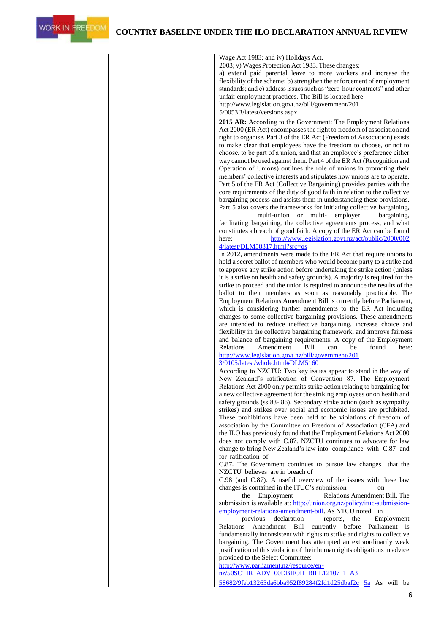

|  | Wage Act 1983; and iv) Holidays Act.                                                                                                               |
|--|----------------------------------------------------------------------------------------------------------------------------------------------------|
|  | 2003; v) Wages Protection Act 1983. These changes:                                                                                                 |
|  | a) extend paid parental leave to more workers and increase the                                                                                     |
|  | flexibility of the scheme; b) strengthen the enforcement of employment                                                                             |
|  | standards; and c) address issues such as "zero-hour contracts" and other                                                                           |
|  | unfair employment practices. The Bill is located here:                                                                                             |
|  | http://www.legislation.govt.nz/bill/government/201<br>5/0053B/latest/versions.aspx                                                                 |
|  |                                                                                                                                                    |
|  | 2015 AR: According to the Government: The Employment Relations                                                                                     |
|  | Act 2000 (ER Act) encompasses the right to freedom of association and<br>right to organise. Part 3 of the ER Act (Freedom of Association) exists   |
|  | to make clear that employees have the freedom to choose, or not to                                                                                 |
|  | choose, to be part of a union, and that an employee's preference either                                                                            |
|  | way cannot be used against them. Part 4 of the ER Act (Recognition and                                                                             |
|  | Operation of Unions) outlines the role of unions in promoting their                                                                                |
|  | members' collective interests and stipulates how unions are to operate.                                                                            |
|  | Part 5 of the ER Act (Collective Bargaining) provides parties with the                                                                             |
|  | core requirements of the duty of good faith in relation to the collective                                                                          |
|  | bargaining process and assists them in understanding these provisions.                                                                             |
|  | Part 5 also covers the frameworks for initiating collective bargaining,                                                                            |
|  | multi-union or multi- employer<br>bargaining,                                                                                                      |
|  | facilitating bargaining, the collective agreements process, and what<br>constitutes a breach of good faith. A copy of the ER Act can be found      |
|  | here:<br>http://www.legislation.govt.nz/act/public/2000/002                                                                                        |
|  | 4/latest/DLM58317.html?src=qs                                                                                                                      |
|  | In 2012, amendments were made to the ER Act that require unions to                                                                                 |
|  | hold a secret ballot of members who would become party to a strike and                                                                             |
|  | to approve any strike action before undertaking the strike action (unless                                                                          |
|  | it is a strike on health and safety grounds). A majority is required for the                                                                       |
|  | strike to proceed and the union is required to announce the results of the                                                                         |
|  | ballot to their members as soon as reasonably practicable. The                                                                                     |
|  | Employment Relations Amendment Bill is currently before Parliament,                                                                                |
|  | which is considering further amendments to the ER Act including<br>changes to some collective bargaining provisions. These amendments              |
|  | are intended to reduce ineffective bargaining, increase choice and                                                                                 |
|  | flexibility in the collective bargaining framework, and improve fairness                                                                           |
|  | and balance of bargaining requirements. A copy of the Employment                                                                                   |
|  | Relations<br>Amendment<br>Bill<br>can<br>be<br>found<br>here:                                                                                      |
|  | http://www.legislation.govt.nz/bill/government/201                                                                                                 |
|  | 3/0105/latest/whole.html#DLM5160                                                                                                                   |
|  | According to NZCTU: Two key issues appear to stand in the way of                                                                                   |
|  | New Zealand's ratification of Convention 87. The Employment                                                                                        |
|  | Relations Act 2000 only permits strike action relating to bargaining for<br>a new collective agreement for the striking employees or on health and |
|  | safety grounds (ss 83-86). Secondary strike action (such as sympathy                                                                               |
|  | strikes) and strikes over social and economic issues are prohibited.                                                                               |
|  | These prohibitions have been held to be violations of freedom of                                                                                   |
|  | association by the Committee on Freedom of Association (CFA) and                                                                                   |
|  | the ILO has previously found that the Employment Relations Act 2000                                                                                |
|  | does not comply with C.87. NZCTU continues to advocate for law                                                                                     |
|  | change to bring New Zealand's law into compliance with C.87 and                                                                                    |
|  | for ratification of                                                                                                                                |
|  | C.87. The Government continues to pursue law changes that the                                                                                      |
|  | NZCTU believes are in breach of<br>C.98 (and C.87). A useful overview of the issues with these law                                                 |
|  | changes is contained in the ITUC's submission<br>on                                                                                                |
|  | Relations Amendment Bill. The<br>the Employment                                                                                                    |
|  | submission is available at: http://union.org.nz/policy/ituc-submission-                                                                            |
|  | employment-relations-amendment-bill. As NTCU noted in                                                                                              |
|  | previous declaration<br>reports, the<br>Employment                                                                                                 |
|  | Relations Amendment Bill currently before Parliament is                                                                                            |
|  | fundamentally inconsistent with rights to strike and rights to collective                                                                          |
|  | bargaining. The Government has attempted an extraordinarily weak                                                                                   |
|  | justification of this violation of their human rights obligations in advice                                                                        |
|  | provided to the Select Committee:                                                                                                                  |
|  | http://www.parliament.nz/resource/en-<br>nz/50SCTIR_ADV_00DBHOH_BILL12107_1_A3                                                                     |
|  | 58682/9feb13263da6bba952f89284f2fd1d25dbaf2c 5a As will be                                                                                         |
|  |                                                                                                                                                    |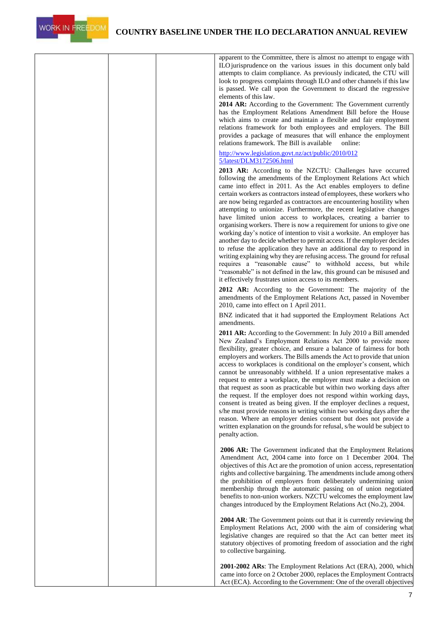



| apparent to the Committee, there is almost no attempt to engage with<br>ILO jurisprudence on the various issues in this document only bald<br>attempts to claim compliance. As previously indicated, the CTU will<br>look to progress complaints through ILO and other channels if this law<br>is passed. We call upon the Government to discard the regressive<br>elements of this law.<br>2014 AR: According to the Government: The Government currently<br>has the Employment Relations Amendment Bill before the House<br>which aims to create and maintain a flexible and fair employment<br>relations framework for both employees and employers. The Bill<br>provides a package of measures that will enhance the employment<br>relations framework. The Bill is available<br>online:                                                                                                                                                                                        |
|-------------------------------------------------------------------------------------------------------------------------------------------------------------------------------------------------------------------------------------------------------------------------------------------------------------------------------------------------------------------------------------------------------------------------------------------------------------------------------------------------------------------------------------------------------------------------------------------------------------------------------------------------------------------------------------------------------------------------------------------------------------------------------------------------------------------------------------------------------------------------------------------------------------------------------------------------------------------------------------|
| http://www.legislation.govt.nz/act/public/2010/012<br>5/latest/DLM3172506.html                                                                                                                                                                                                                                                                                                                                                                                                                                                                                                                                                                                                                                                                                                                                                                                                                                                                                                      |
| 2013 AR: According to the NZCTU: Challenges have occurred<br>following the amendments of the Employment Relations Act which<br>came into effect in 2011. As the Act enables employers to define<br>certain workers as contractors instead of employees, these workers who<br>are now being regarded as contractors are encountering hostility when<br>attempting to unionize. Furthermore, the recent legislative changes<br>have limited union access to workplaces, creating a barrier to<br>organising workers. There is now a requirement for unions to give one<br>working day's notice of intention to visit a worksite. An employer has<br>another day to decide whether to permit access. If the employer decides<br>to refuse the application they have an additional day to respond in<br>writing explaining why they are refusing access. The ground for refusal<br>requires a "reasonable cause" to withhold access, but while                                          |
| "reasonable" is not defined in the law, this ground can be misused and<br>it effectively frustrates union access to its members.                                                                                                                                                                                                                                                                                                                                                                                                                                                                                                                                                                                                                                                                                                                                                                                                                                                    |
| 2012 AR: According to the Government: The majority of the<br>amendments of the Employment Relations Act, passed in November<br>2010, came into effect on 1 April 2011.                                                                                                                                                                                                                                                                                                                                                                                                                                                                                                                                                                                                                                                                                                                                                                                                              |
| BNZ indicated that it had supported the Employment Relations Act<br>amendments.                                                                                                                                                                                                                                                                                                                                                                                                                                                                                                                                                                                                                                                                                                                                                                                                                                                                                                     |
| <b>2011 AR:</b> According to the Government: In July 2010 a Bill amended<br>New Zealand's Employment Relations Act 2000 to provide more<br>flexibility, greater choice, and ensure a balance of fairness for both<br>employers and workers. The Bills amends the Act to provide that union<br>access to workplaces is conditional on the employer's consent, which<br>cannot be unreasonably withheld. If a union representative makes a<br>request to enter a workplace, the employer must make a decision on<br>that request as soon as practicable but within two working days after<br>the request. If the employer does not respond within working days,<br>consent is treated as being given. If the employer declines a request,<br>s/he must provide reasons in writing within two working days after the<br>reason. Where an employer denies consent but does not provide a<br>written explanation on the grounds for refusal, s/he would be subject to<br>penalty action. |
| 2006 AR: The Government indicated that the Employment Relations<br>Amendment Act, 2004 came into force on 1 December 2004. The<br>objectives of this Act are the promotion of union access, representation<br>rights and collective bargaining. The amendments include among others<br>the prohibition of employers from deliberately undermining union<br>membership through the automatic passing on of union negotiated<br>benefits to non-union workers. NZCTU welcomes the employment law<br>changes introduced by the Employment Relations Act (No.2), 2004.                                                                                                                                                                                                                                                                                                                                                                                                                  |
| <b>2004 AR:</b> The Government points out that it is currently reviewing the<br>Employment Relations Act, 2000 with the aim of considering what<br>legislative changes are required so that the Act can better meet its<br>statutory objectives of promoting freedom of association and the right<br>to collective bargaining.                                                                                                                                                                                                                                                                                                                                                                                                                                                                                                                                                                                                                                                      |
| 2001-2002 ARs: The Employment Relations Act (ERA), 2000, which<br>came into force on 2 October 2000, replaces the Employment Contracts<br>Act (ECA). According to the Government: One of the overall objectives                                                                                                                                                                                                                                                                                                                                                                                                                                                                                                                                                                                                                                                                                                                                                                     |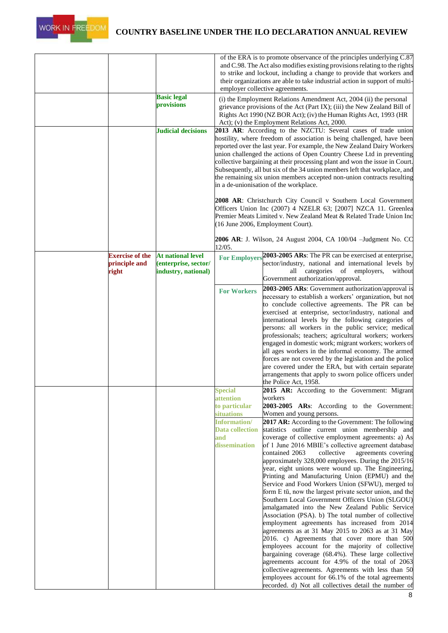

|                                                  |                                                                         |                                                                                                                                     | of the ERA is to promote observance of the principles underlying C.87<br>and C.98. The Act also modifies existing provisions relating to the rights<br>to strike and lockout, including a change to provide that workers and<br>their organizations are able to take industrial action in support of multi-<br>employer collective agreements.                                                                                                                                                                                                                                                                                                                                                                                                                                                                                                                                                                                                                                                                                                                                                                                                                                                                                                                                                                                                                |
|--------------------------------------------------|-------------------------------------------------------------------------|-------------------------------------------------------------------------------------------------------------------------------------|---------------------------------------------------------------------------------------------------------------------------------------------------------------------------------------------------------------------------------------------------------------------------------------------------------------------------------------------------------------------------------------------------------------------------------------------------------------------------------------------------------------------------------------------------------------------------------------------------------------------------------------------------------------------------------------------------------------------------------------------------------------------------------------------------------------------------------------------------------------------------------------------------------------------------------------------------------------------------------------------------------------------------------------------------------------------------------------------------------------------------------------------------------------------------------------------------------------------------------------------------------------------------------------------------------------------------------------------------------------|
|                                                  | <b>Basic legal</b><br>provisions                                        |                                                                                                                                     | (i) the Employment Relations Amendment Act, 2004 (ii) the personal<br>grievance provisions of the Act (Part IX); (iii) the New Zealand Bill of<br>Rights Act 1990 (NZ BOR Act); (iv) the Human Rights Act, 1993 (HR<br>Act); (v) the Employment Relations Act, 2000.                                                                                                                                                                                                                                                                                                                                                                                                                                                                                                                                                                                                                                                                                                                                                                                                                                                                                                                                                                                                                                                                                          |
|                                                  | <b>Judicial decisions</b>                                               |                                                                                                                                     | 2013 AR: According to the NZCTU: Several cases of trade union<br>hostility, where freedom of association is being challenged, have been<br>reported over the last year. For example, the New Zealand Dairy Workers<br>union challenged the actions of Open Country Cheese Ltd in preventing<br>collective bargaining at their processing plant and won the issue in Court.<br>Subsequently, all but six of the 34 union members left that workplace, and<br>the remaining six union members accepted non-union contracts resulting<br>in a de-unionisation of the workplace.                                                                                                                                                                                                                                                                                                                                                                                                                                                                                                                                                                                                                                                                                                                                                                                  |
|                                                  |                                                                         |                                                                                                                                     | 2008 AR: Christchurch City Council v Southern Local Government<br>Officers Union Inc (2007) 4 NZELR 63; [2007] NZCA 11. Greenlea<br>Premier Meats Limited v. New Zealand Meat & Related Trade Union Inc<br>(16 June 2006, Employment Court).                                                                                                                                                                                                                                                                                                                                                                                                                                                                                                                                                                                                                                                                                                                                                                                                                                                                                                                                                                                                                                                                                                                  |
|                                                  |                                                                         | 12/05.                                                                                                                              | <b>2006 AR</b> : J. Wilson, 24 August 2004, CA 100/04 –Judgment No. CC                                                                                                                                                                                                                                                                                                                                                                                                                                                                                                                                                                                                                                                                                                                                                                                                                                                                                                                                                                                                                                                                                                                                                                                                                                                                                        |
| <b>Exercise of the</b><br>principle and<br>right | <b>At national level</b><br>(enterprise, sector/<br>industry, national) |                                                                                                                                     | For Employers <sup>2003-2005</sup> ARs: The PR can be exercised at enterprise,<br>sector/industry, national and international levels by<br>categories<br>of employers,<br>all<br>without<br>Government authorization/approval.                                                                                                                                                                                                                                                                                                                                                                                                                                                                                                                                                                                                                                                                                                                                                                                                                                                                                                                                                                                                                                                                                                                                |
|                                                  |                                                                         | <b>For Workers</b>                                                                                                                  | 2003-2005 ARs: Government authorization/approval is<br>necessary to establish a workers' organization, but not<br>to conclude collective agreements. The PR can be<br>exercised at enterprise, sector/industry, national and<br>international levels by the following categories of<br>persons: all workers in the public service; medical<br>professionals; teachers; agricultural workers; workers<br>engaged in domestic work; migrant workers; workers of<br>all ages workers in the informal economy. The armed<br>forces are not covered by the legislation and the police<br>are covered under the ERA, but with certain separate<br>arrangements that apply to sworn police officers under<br>the Police Act, 1958.                                                                                                                                                                                                                                                                                                                                                                                                                                                                                                                                                                                                                                   |
|                                                  |                                                                         | Special<br>attention<br>to particular<br><b>situations</b><br><b>Information/</b><br><b>Data collection</b><br>and<br>dissemination | 2015 AR: According to the Government: Migrant<br>workers<br>2003-2005 ARs: According to the Government:<br>Women and young persons.<br>2017 AR: According to the Government: The following<br>statistics outline current union membership and<br>coverage of collective employment agreements: a) As<br>of 1 June 2016 MBIE's collective agreement database<br>contained 2063<br>collective<br>agreements covering<br>approximately 328,000 employees. During the 2015/16<br>year, eight unions were wound up. The Engineering,<br>Printing and Manufacturing Union (EPMU) and the<br>Service and Food Workers Union (SFWU), merged to<br>form E tū, now the largest private sector union, and the<br>Southern Local Government Officers Union (SLGOU)<br>amalgamated into the New Zealand Public Service<br>Association (PSA). b) The total number of collective<br>employment agreements has increased from 2014<br>agreements as at 31 May 2015 to 2063 as at 31 May<br>2016. c) Agreements that cover more than 500<br>employees account for the majority of collective<br>bargaining coverage (68.4%). These large collective<br>agreements account for 4.9% of the total of 2063<br>collective agreements. Agreements with less than 50<br>employees account for 66.1% of the total agreements<br>recorded. d) Not all collectives detail the number of |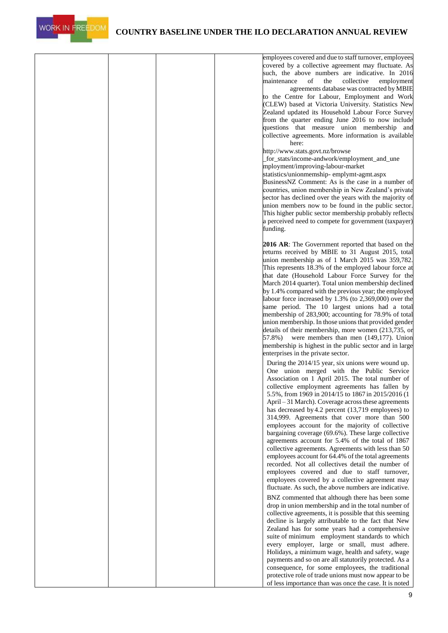

|  |  | employees covered and due to staff turnover, employees<br>covered by a collective agreement may fluctuate. As<br>such, the above numbers are indicative. In 2016<br>of<br>the<br>collective<br>maintenance<br>employment<br>agreements database was contracted by MBIE<br>to the Centre for Labour, Employment and Work<br>(CLEW) based at Victoria University. Statistics New<br>Zealand updated its Household Labour Force Survey<br>from the quarter ending June 2016 to now include<br>questions that measure union membership and<br>collective agreements. More information is available<br>here:<br>http://www.stats.govt.nz/browse<br>for_stats/income-andwork/employment_and_une<br>mployment/improving-labour-market<br>statistics/unionmemship-emplymt-agmt.aspx<br>BusinessNZ Comment: As is the case in a number of<br>countries, union membership in New Zealand's private<br>sector has declined over the years with the majority of |
|--|--|-----------------------------------------------------------------------------------------------------------------------------------------------------------------------------------------------------------------------------------------------------------------------------------------------------------------------------------------------------------------------------------------------------------------------------------------------------------------------------------------------------------------------------------------------------------------------------------------------------------------------------------------------------------------------------------------------------------------------------------------------------------------------------------------------------------------------------------------------------------------------------------------------------------------------------------------------------|
|  |  | union members now to be found in the public sector.<br>This higher public sector membership probably reflects<br>a perceived need to compete for government (taxpayer)<br>funding.                                                                                                                                                                                                                                                                                                                                                                                                                                                                                                                                                                                                                                                                                                                                                                  |
|  |  | 2016 AR: The Government reported that based on the<br>returns received by MBIE to 31 August 2015, total<br>union membership as of 1 March 2015 was 359,782.<br>This represents 18.3% of the employed labour force at<br>that date (Household Labour Force Survey for the<br>March 2014 quarter). Total union membership declined<br>by 1.4% compared with the previous year; the employed<br>labour force increased by 1.3% (to 2,369,000) over the<br>same period. The 10 largest unions had a total<br>membership of 283,900; accounting for 78.9% of total<br>union membership. In those unions that provided gender<br>details of their membership, more women (213,735, or<br>were members than men $(149,177)$ . Union<br>57.8%)<br>membership is highest in the public sector and in large<br>enterprises in the private sector.                                                                                                             |
|  |  | During the 2014/15 year, six unions were wound up.<br>One union merged with the Public Service<br>Association on 1 April 2015. The total number of<br>collective employment agreements has fallen by<br>5.5%, from 1969 in 2014/15 to 1867 in 2015/2016 (1<br>April – 31 March). Coverage across these agreements<br>has decreased by 4.2 percent (13,719 employees) to<br>314,999. Agreements that cover more than 500<br>employees account for the majority of collective<br>bargaining coverage (69.6%). These large collective<br>agreements account for 5.4% of the total of 1867<br>collective agreements. Agreements with less than 50<br>employees account for 64.4% of the total agreements<br>recorded. Not all collectives detail the number of<br>employees covered and due to staff turnover,<br>employees covered by a collective agreement may<br>fluctuate. As such, the above numbers are indicative.                              |
|  |  | BNZ commented that although there has been some<br>drop in union membership and in the total number of<br>collective agreements, it is possible that this seeming<br>decline is largely attributable to the fact that New<br>Zealand has for some years had a comprehensive<br>suite of minimum employment standards to which<br>every employer, large or small, must adhere.<br>Holidays, a minimum wage, health and safety, wage<br>payments and so on are all statutorily protected. As a<br>consequence, for some employees, the traditional<br>protective role of trade unions must now appear to be<br>of less importance than was once the case. It is noted                                                                                                                                                                                                                                                                                 |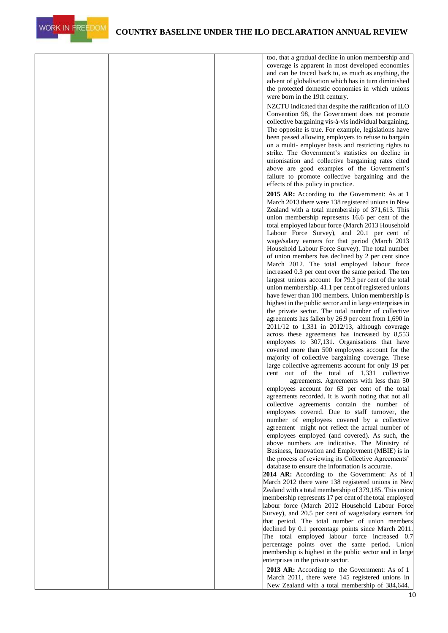

|  |  | too, that a gradual decline in union membership and<br>coverage is apparent in most developed economies<br>and can be traced back to, as much as anything, the<br>advent of globalisation which has in turn diminished<br>the protected domestic economies in which unions<br>were born in the 19th century.                                                                                                                                                                                                                                          |
|--|--|-------------------------------------------------------------------------------------------------------------------------------------------------------------------------------------------------------------------------------------------------------------------------------------------------------------------------------------------------------------------------------------------------------------------------------------------------------------------------------------------------------------------------------------------------------|
|  |  | NZCTU indicated that despite the ratification of ILO<br>Convention 98, the Government does not promote<br>collective bargaining vis-à-vis individual bargaining.<br>The opposite is true. For example, legislations have<br>been passed allowing employers to refuse to bargain<br>on a multi- employer basis and restricting rights to<br>strike. The Government's statistics on decline in<br>unionisation and collective bargaining rates cited<br>above are good examples of the Government's<br>failure to promote collective bargaining and the |
|  |  | effects of this policy in practice.<br><b>2015 AR:</b> According to the Government: As at 1<br>March 2013 there were 138 registered unions in New<br>Zealand with a total membership of 371,613. This<br>union membership represents 16.6 per cent of the<br>total employed labour force (March 2013 Household<br>Labour Force Survey), and 20.1 per cent of                                                                                                                                                                                          |
|  |  | wage/salary earners for that period (March 2013<br>Household Labour Force Survey). The total number<br>of union members has declined by 2 per cent since<br>March 2012. The total employed labour force<br>increased 0.3 per cent over the same period. The ten<br>largest unions account for 79.3 per cent of the total<br>union membership. 41.1 per cent of registered unions                                                                                                                                                                      |
|  |  | have fewer than 100 members. Union membership is<br>highest in the public sector and in large enterprises in<br>the private sector. The total number of collective<br>agreements has fallen by 26.9 per cent from 1,690 in<br>2011/12 to 1,331 in 2012/13, although coverage<br>across these agreements has increased by 8,553<br>employees to 307,131. Organisations that have                                                                                                                                                                       |
|  |  | covered more than 500 employees account for the<br>majority of collective bargaining coverage. These<br>large collective agreements account for only 19 per<br>cent out of the total of 1,331 collective<br>agreements. Agreements with less than 50<br>employees account for 63 per cent of the total<br>agreements recorded. It is worth noting that not all                                                                                                                                                                                        |
|  |  | collective agreements contain the number of<br>employees covered. Due to staff turnover, the<br>number of employees covered by a collective<br>agreement might not reflect the actual number of<br>employees employed (and covered). As such, the<br>above numbers are indicative. The Ministry of<br>Business, Innovation and Employment (MBIE) is in                                                                                                                                                                                                |
|  |  | the process of reviewing its Collective Agreements'<br>database to ensure the information is accurate.<br>2014 AR: According to the Government: As of 1<br>March 2012 there were 138 registered unions in New<br>Zealand with a total membership of 379,185. This union<br>membership represents 17 per cent of the total employed<br>labour force (March 2012 Household Labour Force                                                                                                                                                                 |
|  |  | Survey), and 20.5 per cent of wage/salary earners for<br>that period. The total number of union members<br>declined by 0.1 percentage points since March 2011.<br>The total employed labour force increased 0.7<br>percentage points over the same period. Union<br>membership is highest in the public sector and in large<br>enterprises in the private sector.                                                                                                                                                                                     |
|  |  | 2013 AR: According to the Government: As of 1<br>March 2011, there were 145 registered unions in<br>New Zealand with a total membership of 384,644.                                                                                                                                                                                                                                                                                                                                                                                                   |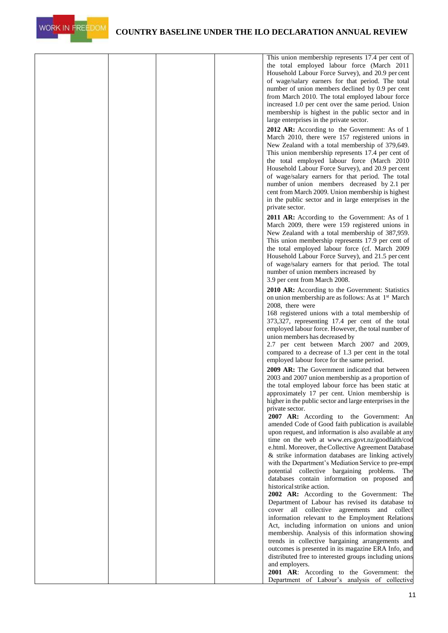

|  | This union membership represents 17.4 per cent of<br>the total employed labour force (March 2011<br>Household Labour Force Survey), and 20.9 per cent<br>of wage/salary earners for that period. The total<br>number of union members declined by 0.9 per cent<br>from March 2010. The total employed labour force<br>increased 1.0 per cent over the same period. Union<br>membership is highest in the public sector and in<br>large enterprises in the private sector.<br>2012 AR: According to the Government: As of 1 |
|--|----------------------------------------------------------------------------------------------------------------------------------------------------------------------------------------------------------------------------------------------------------------------------------------------------------------------------------------------------------------------------------------------------------------------------------------------------------------------------------------------------------------------------|
|  | March 2010, there were 157 registered unions in<br>New Zealand with a total membership of 379,649.<br>This union membership represents 17.4 per cent of<br>the total employed labour force (March 2010<br>Household Labour Force Survey), and 20.9 per cent<br>of wage/salary earners for that period. The total<br>number of union members decreased by 2.1 per<br>cent from March 2009. Union membership is highest<br>in the public sector and in large enterprises in the<br>private sector.                           |
|  | 2011 AR: According to the Government: As of 1<br>March 2009, there were 159 registered unions in<br>New Zealand with a total membership of 387,959.<br>This union membership represents 17.9 per cent of<br>the total employed labour force (cf. March 2009<br>Household Labour Force Survey), and 21.5 per cent<br>of wage/salary earners for that period. The total<br>number of union members increased by<br>3.9 per cent from March 2008.                                                                             |
|  | 2010 AR: According to the Government: Statistics<br>on union membership are as follows: As at 1 <sup>st</sup> March<br>2008, there were<br>168 registered unions with a total membership of<br>373,327, representing 17.4 per cent of the total                                                                                                                                                                                                                                                                            |
|  | employed labour force. However, the total number of<br>union members has decreased by<br>2.7 per cent between March 2007 and 2009,<br>compared to a decrease of 1.3 per cent in the total<br>employed labour force for the same period.<br>2009 AR: The Government indicated that between                                                                                                                                                                                                                                  |
|  | 2003 and 2007 union membership as a proportion of<br>the total employed labour force has been static at<br>approximately 17 per cent. Union membership is<br>higher in the public sector and large enterprises in the<br>private sector.<br>2007 AR: According to the Government: An                                                                                                                                                                                                                                       |
|  | amended Code of Good faith publication is available<br>upon request, and information is also available at any<br>time on the web at www.ers.govt.nz/goodfaith/cod<br>e.html. Moreover, the Collective Agreement Database<br>& strike information databases are linking actively<br>with the Department's Mediation Service to pre-empt                                                                                                                                                                                     |
|  | potential collective bargaining problems.<br>The<br>databases contain information on proposed and<br>historical strike action.<br>2002 AR: According to the Government: The<br>Department of Labour has revised its database to<br>cover all collective agreements and collect                                                                                                                                                                                                                                             |
|  | information relevant to the Employment Relations<br>Act, including information on unions and union<br>membership. Analysis of this information showing<br>trends in collective bargaining arrangements and<br>outcomes is presented in its magazine ERA Info, and<br>distributed free to interested groups including unions                                                                                                                                                                                                |
|  | and employers.<br>2001 AR: According to the Government: the<br>Department of Labour's analysis of collective                                                                                                                                                                                                                                                                                                                                                                                                               |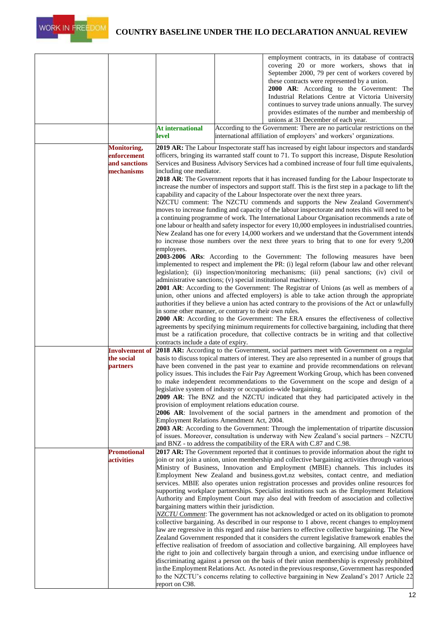

|                    |                                                                | employment contracts, in its database of contracts                                                                                                                                             |
|--------------------|----------------------------------------------------------------|------------------------------------------------------------------------------------------------------------------------------------------------------------------------------------------------|
|                    |                                                                | covering 20 or more workers, shows that in                                                                                                                                                     |
|                    |                                                                | September 2000, 79 per cent of workers covered by<br>these contracts were represented by a union.                                                                                              |
|                    |                                                                | 2000 AR: According to the Government: The                                                                                                                                                      |
|                    |                                                                | Industrial Relations Centre at Victoria University                                                                                                                                             |
|                    |                                                                | continues to survey trade unions annually. The survey                                                                                                                                          |
|                    |                                                                | provides estimates of the number and membership of                                                                                                                                             |
|                    |                                                                | unions at 31 December of each year.                                                                                                                                                            |
|                    | At international                                               | According to the Government: There are no particular restrictions on the                                                                                                                       |
|                    | level                                                          | international affiliation of employers' and workers' organizations.                                                                                                                            |
| Monitoring,        |                                                                | 2019 AR: The Labour Inspectorate staff has increased by eight labour inspectors and standards                                                                                                  |
| enforcement        |                                                                | officers, bringing its warranted staff count to 71. To support this increase, Dispute Resolution                                                                                               |
| and sanctions      |                                                                | Services and Business Advisory Services had a combined increase of four full time equivalents,                                                                                                 |
| mechanisms         | including one mediator.                                        | <b>2018 AR:</b> The Government reports that it has increased funding for the Labour Inspectorate to                                                                                            |
|                    |                                                                | increase the number of inspectors and support staff. This is the first step in a package to lift the                                                                                           |
|                    |                                                                | capability and capacity of the Labour Inspectorate over the next three years.                                                                                                                  |
|                    |                                                                | NZCTU comment: The NZCTU commends and supports the New Zealand Government's                                                                                                                    |
|                    |                                                                | moves to increase funding and capacity of the labour inspectorate and notes this will need to be                                                                                               |
|                    |                                                                | a continuing programme of work. The International Labour Organisation recommends a rate of                                                                                                     |
|                    |                                                                | one labour or health and safety inspector for every 10,000 employees in industrialised countries.                                                                                              |
|                    |                                                                | New Zealand has one for every 14,000 workers and we understand that the Government intends                                                                                                     |
|                    | employees.                                                     | to increase those numbers over the next three years to bring that to one for every 9,200                                                                                                       |
|                    |                                                                | 2003-2006 ARs: According to the Government: The following measures have been                                                                                                                   |
|                    |                                                                | implemented to respect and implement the PR: (i) legal reform (labour law and other relevant                                                                                                   |
|                    |                                                                | legislation); (ii) inspection/monitoring mechanisms; (iii) penal sanctions; (iv) civil or                                                                                                      |
|                    | administrative sanctions; (v) special institutional machinery. |                                                                                                                                                                                                |
|                    |                                                                | 2001 AR: According to the Government: The Registrar of Unions (as well as members of a                                                                                                         |
|                    |                                                                | union, other unions and affected employers) is able to take action through the appropriate                                                                                                     |
|                    |                                                                | authorities if they believe a union has acted contrary to the provisions of the Act or unlawfully                                                                                              |
|                    | in some other manner, or contrary to their own rules.          | <b>2000 AR:</b> According to the Government: The ERA ensures the effectiveness of collective                                                                                                   |
|                    |                                                                | agreements by specifying minimum requirements for collective bargaining, including that there                                                                                                  |
|                    |                                                                | must be a ratification procedure, that collective contracts be in writing and that collective                                                                                                  |
|                    | contracts include a date of expiry.                            |                                                                                                                                                                                                |
|                    |                                                                | Involvement of 2018 AR: According to the Government, social partners meet with Government on a regular                                                                                         |
| the social         |                                                                | basis to discuss topical matters of interest. They are also represented in a number of groups that                                                                                             |
| <b>partners</b>    |                                                                | have been convened in the past year to examine and provide recommendations on relevant<br>policy issues. This includes the Fair Pay Agreement Working Group, which has been convened           |
|                    |                                                                | to make independent recommendations to the Government on the scope and design of a                                                                                                             |
|                    |                                                                | legislative system of industry or occupation-wide bargaining.                                                                                                                                  |
|                    |                                                                | 2009 AR: The BNZ and the NZCTU indicated that they had participated actively in the                                                                                                            |
|                    | provision of employment relations education course.            |                                                                                                                                                                                                |
|                    |                                                                | <b>2006 AR:</b> Involvement of the social partners in the amendment and promotion of the                                                                                                       |
|                    | Employment Relations Amendment Act, 2004.                      |                                                                                                                                                                                                |
|                    |                                                                | 2003 AR: According to the Government: Through the implementation of tripartite discussion                                                                                                      |
|                    |                                                                | of issues. Moreover, consultation is underway with New Zealand's social partners - NZCTU<br>and BNZ - to address the compatibility of the ERA with C.87 and C.98.                              |
| <b>Promotional</b> |                                                                | <b>2017 AR:</b> The Government reported that it continues to provide information about the right to                                                                                            |
| <b>activities</b>  |                                                                | join or not join a union, union membership and collective bargaining activities through various                                                                                                |
|                    |                                                                | Ministry of Business, Innovation and Employment (MBIE) channels. This includes its                                                                                                             |
|                    |                                                                | Employment New Zealand and business.govt.nz websites, contact centre, and mediation                                                                                                            |
|                    |                                                                | services. MBIE also operates union registration processes and provides online resources for                                                                                                    |
|                    |                                                                | supporting workplace partnerships. Specialist institutions such as the Employment Relations                                                                                                    |
|                    | bargaining matters within their jurisdiction.                  | Authority and Employment Court may also deal with freedom of association and collective                                                                                                        |
|                    |                                                                | NZCTU Comment: The government has not acknowledged or acted on its obligation to promote                                                                                                       |
|                    |                                                                | collective bargaining. As described in our response to 1 above, recent changes to employment                                                                                                   |
|                    |                                                                | law are regressive in this regard and raise barriers to effective collective bargaining. The New                                                                                               |
|                    |                                                                | Zealand Government responded that it considers the current legislative framework enables the                                                                                                   |
|                    |                                                                | effective realisation of freedom of association and collective bargaining. All employees have                                                                                                  |
|                    |                                                                | the right to join and collectively bargain through a union, and exercising undue influence or                                                                                                  |
|                    |                                                                | discriminating against a person on the basis of their union membership is expressly prohibited<br>in the Employment Relations Act. As noted in the previous response, Government has responded |
|                    |                                                                | to the NZCTU's concerns relating to collective bargaining in New Zealand's 2017 Article 22                                                                                                     |
|                    | report on C98.                                                 |                                                                                                                                                                                                |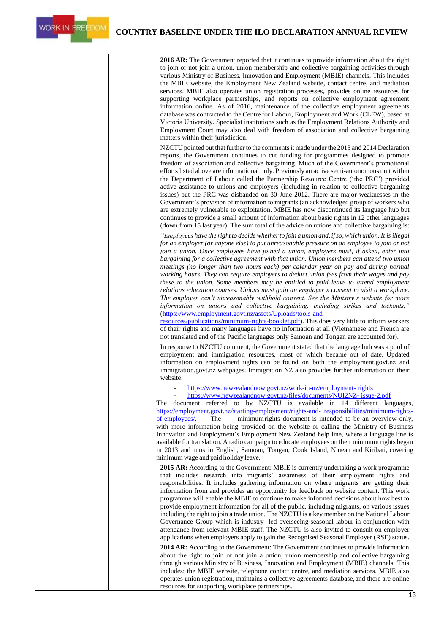**2016 AR:** The Government reported that it continues to provide information about the right to join or not join a union, union membership and collective bargaining activities through various Ministry of Business, Innovation and Employment (MBIE) channels. This includes the MBIE website, the Employment New Zealand website, contact centre, and mediation services. MBIE also operates union registration processes, provides online resources for supporting workplace partnerships, and reports on collective employment agreement information online. As of 2016, maintenance of the collective employment agreements database was contracted to the Centre for Labour, Employment and Work (CLEW), based at Victoria University. Specialist institutions such as the Employment Relations Authority and Employment Court may also deal with freedom of association and collective bargaining matters within their jurisdiction. NZCTU pointed out that further to the comments it made under the 2013 and 2014 Declaration reports, the Government continues to cut funding for programmes designed to promote freedom of association and collective bargaining. Much of the Government's promotional efforts listed above are informational only. Previously an active semi-autonomous unit within the Department of Labour called the Partnership Resource Centre ('the PRC') provided active assistance to unions and employers (including in relation to collective bargaining issues) but the PRC was disbanded on 30 June 2012. There are major weaknesses in the Government's provision of information to migrants (an acknowledged group of workers who are extremely vulnerable to exploitation. MBIE has now discontinued its language hub but continues to provide a small amount of information about basic rights in 12 other languages (down from 15 last year). The sum total of the advice on unions and collective bargaining is: *"Employees have the right to decidewhetherto join a union and, ifso,which union. It is illegal for an employer (or anyone else) to put unreasonable pressure on an employee to join or not join a union. Once employees have joined a union, employers must, if asked, enter into bargaining for a collective agreement with that union. Union members can attend two union meetings (no longer than two hours each) per calendar year on pay and during normal working hours. They can require employers to deduct union fees from their wages and pay these to the union. Some members may be entitled to paid leave to attend employment relations education courses. Unions must gain an employer's consent to visit a workplace. The employer can't unreasonably withhold consent. See the Ministry's website for more information on unions and collective bargaining, including strikes and lockouts."*  [\(https://www.employment.govt.nz/assets/Uploads/tools-and](https://www.employment.govt.nz/assets/Uploads/tools-and-resources/publications/minimum-rights-booklet.pdf)[resources/publications/minimum-rights-booklet.pdf\)](https://www.employment.govt.nz/assets/Uploads/tools-and-resources/publications/minimum-rights-booklet.pdf). This does very little to inform workers of their rights and many languages have no information at all (Vietnamese and French are not translated and of the Pacific languages only Samoan and Tongan are accounted for). In response to NZCTU comment, the Government stated that the language hub was a pool of employment and immigration resources, most of which became out of date. Updated information on employment rights can be found on both the employment.govt.nz and immigration.govt.nz webpages. Immigration NZ also provides further information on their website: - [https://www.newzealandnow.govt.nz/work-in-nz/employment-](https://www.newzealandnow.govt.nz/work-in-nz/employment-rights) [rights](https://www.newzealandnow.govt.nz/work-in-nz/employment-rights) - [https://www.newzealandnow.govt.nz/files/documents/NUI2NZ-](https://www.newzealandnow.govt.nz/files/documents/NUI2NZ-issue-2.pdf) [issue-2.pdf](https://www.newzealandnow.govt.nz/files/documents/NUI2NZ-issue-2.pdf) The document referred to by NZCTU is available in 14 different languages, [https://employment.govt.nz/starting-employment/rights-and-](https://employment.govt.nz/starting-employment/rights-and-responsibilities/minimum-rights-of-employees/) [responsibilities/minimum-rights](https://employment.govt.nz/starting-employment/rights-and-responsibilities/minimum-rights-of-employees/)[of-employees/.](https://employment.govt.nz/starting-employment/rights-and-responsibilities/minimum-rights-of-employees/) The minimumrights document is intended to be an overview only, with more information being provided on the website or calling the Ministry of Business Innovation and Employment's Employment New Zealand help line, where a language line is available for translation. A radio campaign to educate employees on their minimum rights began in 2013 and runs in English, Samoan, Tongan, Cook Island, Niuean and Kiribati, covering minimum wage and paid holiday leave. **2015 AR:** According to the Government: MBIE is currently undertaking a work programme that includes research into migrants' awareness of their employment rights and responsibilities. It includes gathering information on where migrants are getting their information from and provides an opportunity for feedback on website content. This work programme will enable the MBIE to continue to make informed decisions about how best to provide employment information for all of the public, including migrants, on various issues including the right to join a trade union. The NZCTU is a key member on the National Labour Governance Group which is industry- led overseeing seasonal labour in conjunction with attendance from relevant MBIE staff. The NZCTU is also invited to consult on employer applications when employers apply to gain the Recognised Seasonal Employer (RSE) status. **2014 AR:** According to the Government: The Government continues to provide information about the right to join or not join a union, union membership and collective bargaining through various Ministry of Business, Innovation and Employment (MBIE) channels. This includes: the MBIE website, telephone contact centre, and mediation services. MBIE also operates union registration, maintains a collective agreements database, and there are online resources for supporting workplace partnerships.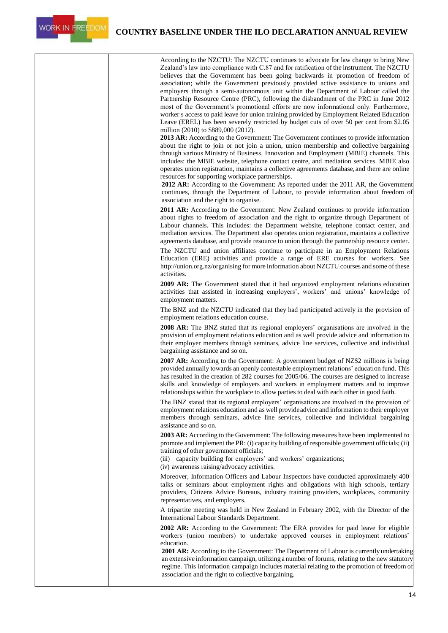|  | According to the NZCTU: The NZCTU continues to advocate for law change to bring New<br>Zealand's law into compliance with C.87 and for ratification of the instrument. The NZCTU<br>believes that the Government has been going backwards in promotion of freedom of<br>association; while the Government previously provided active assistance to unions and<br>employers through a semi-autonomous unit within the Department of Labour called the<br>Partnership Resource Centre (PRC), following the disbandment of the PRC in June 2012<br>most of the Government's promotional efforts are now informational only. Furthermore,<br>worker s access to paid leave for union training provided by Employment Related Education<br>Leave (EREL) has been severely restricted by budget cuts of over 50 per cent from \$2.05<br>million (2010) to \$889,000 (2012). |
|--|-----------------------------------------------------------------------------------------------------------------------------------------------------------------------------------------------------------------------------------------------------------------------------------------------------------------------------------------------------------------------------------------------------------------------------------------------------------------------------------------------------------------------------------------------------------------------------------------------------------------------------------------------------------------------------------------------------------------------------------------------------------------------------------------------------------------------------------------------------------------------|
|  | <b>2013 AR:</b> According to the Government: The Government continues to provide information<br>about the right to join or not join a union, union membership and collective bargaining<br>through various Ministry of Business, Innovation and Employment (MBIE) channels. This<br>includes: the MBIE website, telephone contact centre, and mediation services. MBIE also<br>operates union registration, maintains a collective agreements database, and there are online<br>resources for supporting workplace partnerships.<br>2012 AR: According to the Government: As reported under the 2011 AR, the Government                                                                                                                                                                                                                                               |
|  | continues, through the Department of Labour, to provide information about freedom of<br>association and the right to organise.                                                                                                                                                                                                                                                                                                                                                                                                                                                                                                                                                                                                                                                                                                                                        |
|  | <b>2011 AR:</b> According to the Government: New Zealand continues to provide information<br>about rights to freedom of association and the right to organize through Department of<br>Labour channels. This includes: the Department website, telephone contact center, and                                                                                                                                                                                                                                                                                                                                                                                                                                                                                                                                                                                          |
|  | mediation services. The Department also operates union registration, maintains a collective<br>agreements database, and provide resource to union through the partnership resource center.                                                                                                                                                                                                                                                                                                                                                                                                                                                                                                                                                                                                                                                                            |
|  | The NZCTU and union affiliates continue to participate in an Employment Relations<br>Education (ERE) activities and provide a range of ERE courses for workers. See<br>http://union.org.nz/organising for more information about NZCTU courses and some of these<br>activities.                                                                                                                                                                                                                                                                                                                                                                                                                                                                                                                                                                                       |
|  | <b>2009 AR:</b> The Government stated that it had organized employment relations education<br>activities that assisted in increasing employers', workers' and unions' knowledge of<br>employment matters.                                                                                                                                                                                                                                                                                                                                                                                                                                                                                                                                                                                                                                                             |
|  | The BNZ and the NZCTU indicated that they had participated actively in the provision of<br>employment relations education course.                                                                                                                                                                                                                                                                                                                                                                                                                                                                                                                                                                                                                                                                                                                                     |
|  | 2008 AR: The BNZ stated that its regional employers' organisations are involved in the<br>provision of employment relations education and as well provide advice and information to<br>their employer members through seminars, advice line services, collective and individual<br>bargaining assistance and so on.                                                                                                                                                                                                                                                                                                                                                                                                                                                                                                                                                   |
|  | <b>2007 AR:</b> According to the Government: A government budget of NZ\$2 millions is being<br>provided annually towards an openly contestable employment relations' education fund. This<br>has resulted in the creation of 282 courses for 2005/06. The courses are designed to increase<br>skills and knowledge of employers and workers in employment matters and to improve<br>relationships within the workplace to allow parties to deal with each other in good faith.                                                                                                                                                                                                                                                                                                                                                                                        |
|  | The BNZ stated that its regional employers' organisations are involved in the provision of<br>employment relations education and as well provide advice and information to their employer<br>members through seminars, advice line services, collective and individual bargaining<br>assistance and so on.                                                                                                                                                                                                                                                                                                                                                                                                                                                                                                                                                            |
|  | 2003 AR: According to the Government: The following measures have been implemented to<br>promote and implement the PR: (i) capacity building of responsible government officials; (ii)<br>training of other government officials;<br>(iii) capacity building for employers' and workers' organizations;<br>(iv) awareness raising/advocacy activities.                                                                                                                                                                                                                                                                                                                                                                                                                                                                                                                |
|  | Moreover, Information Officers and Labour Inspectors have conducted approximately 400<br>talks or seminars about employment rights and obligations with high schools, tertiary<br>providers, Citizens Advice Bureaus, industry training providers, workplaces, community<br>representatives, and employers.                                                                                                                                                                                                                                                                                                                                                                                                                                                                                                                                                           |
|  | A tripartite meeting was held in New Zealand in February 2002, with the Director of the<br>International Labour Standards Department.                                                                                                                                                                                                                                                                                                                                                                                                                                                                                                                                                                                                                                                                                                                                 |
|  | <b>2002 AR:</b> According to the Government: The ERA provides for paid leave for eligible<br>workers (union members) to undertake approved courses in employment relations'<br>education.                                                                                                                                                                                                                                                                                                                                                                                                                                                                                                                                                                                                                                                                             |
|  | 2001 AR: According to the Government: The Department of Labour is currently undertaking<br>an extensive information campaign, utilizing a number of forums, relating to the new statutory<br>regime. This information campaign includes material relating to the promotion of freedom of<br>association and the right to collective bargaining.                                                                                                                                                                                                                                                                                                                                                                                                                                                                                                                       |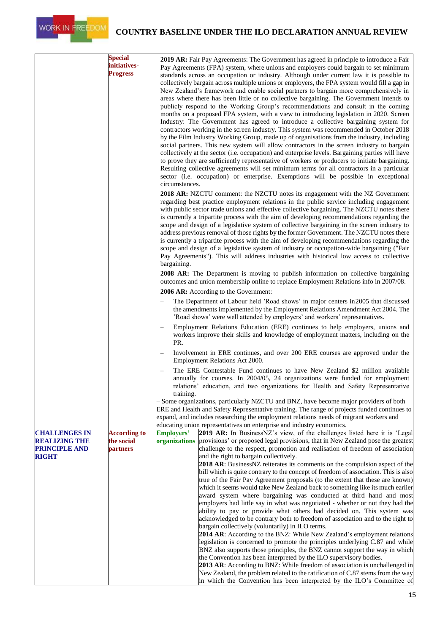

|                                                                                      | <b>Special</b><br>initiatives-<br><b>Progress</b> | <b>2019 AR:</b> Fair Pay Agreements: The Government has agreed in principle to introduce a Fair<br>Pay Agreements (FPA) system, where unions and employers could bargain to set minimum<br>standards across an occupation or industry. Although under current law it is possible to<br>collectively bargain across multiple unions or employers, the FPA system would fill a gap in<br>New Zealand's framework and enable social partners to bargain more comprehensively in<br>areas where there has been little or no collective bargaining. The Government intends to<br>publicly respond to the Working Group's recommendations and consult in the coming<br>months on a proposed FPA system, with a view to introducing legislation in 2020. Screen<br>Industry: The Government has agreed to introduce a collective bargaining system for<br>contractors working in the screen industry. This system was recommended in October 2018<br>by the Film Industry Working Group, made up of organisations from the industry, including<br>social partners. This new system will allow contractors in the screen industry to bargain<br>collectively at the sector (i.e. occupation) and enterprise levels. Bargaining parties will have<br>to prove they are sufficiently representative of workers or producers to initiate bargaining.<br>Resulting collective agreements will set minimum terms for all contractors in a particular<br>sector (i.e. occupation) or enterprise. Exemptions will be possible in exceptional<br>circumstances.                                                        |  |  |  |
|--------------------------------------------------------------------------------------|---------------------------------------------------|--------------------------------------------------------------------------------------------------------------------------------------------------------------------------------------------------------------------------------------------------------------------------------------------------------------------------------------------------------------------------------------------------------------------------------------------------------------------------------------------------------------------------------------------------------------------------------------------------------------------------------------------------------------------------------------------------------------------------------------------------------------------------------------------------------------------------------------------------------------------------------------------------------------------------------------------------------------------------------------------------------------------------------------------------------------------------------------------------------------------------------------------------------------------------------------------------------------------------------------------------------------------------------------------------------------------------------------------------------------------------------------------------------------------------------------------------------------------------------------------------------------------------------------------------------------------------------------------------------|--|--|--|
|                                                                                      |                                                   | <b>2018 AR:</b> NZCTU comment: the NZCTU notes its engagement with the NZ Government<br>regarding best practice employment relations in the public service including engagement<br>with public sector trade unions and effective collective bargaining. The NZCTU notes there<br>is currently a tripartite process with the aim of developing recommendations regarding the<br>scope and design of a legislative system of collective bargaining in the screen industry to<br>address previous removal of those rights by the former Government. The NZCTU notes there<br>is currently a tripartite process with the aim of developing recommendations regarding the<br>scope and design of a legislative system of industry or occupation-wide bargaining ("Fair<br>Pay Agreements"). This will address industries with historical low access to collective<br>bargaining.<br><b>2008 AR:</b> The Department is moving to publish information on collective bargaining                                                                                                                                                                                                                                                                                                                                                                                                                                                                                                                                                                                                                                |  |  |  |
|                                                                                      |                                                   | outcomes and union membership online to replace Employment Relations info in 2007/08.                                                                                                                                                                                                                                                                                                                                                                                                                                                                                                                                                                                                                                                                                                                                                                                                                                                                                                                                                                                                                                                                                                                                                                                                                                                                                                                                                                                                                                                                                                                  |  |  |  |
|                                                                                      |                                                   | 2006 AR: According to the Government:<br>The Department of Labour held 'Road shows' in major centers in 2005 that discussed<br>the amendments implemented by the Employment Relations Amendment Act 2004. The<br>'Road shows' were well attended by employers' and workers' representatives.<br>Employment Relations Education (ERE) continues to help employers, unions and<br>workers improve their skills and knowledge of employment matters, including on the<br>PR.                                                                                                                                                                                                                                                                                                                                                                                                                                                                                                                                                                                                                                                                                                                                                                                                                                                                                                                                                                                                                                                                                                                              |  |  |  |
|                                                                                      |                                                   |                                                                                                                                                                                                                                                                                                                                                                                                                                                                                                                                                                                                                                                                                                                                                                                                                                                                                                                                                                                                                                                                                                                                                                                                                                                                                                                                                                                                                                                                                                                                                                                                        |  |  |  |
|                                                                                      |                                                   | Involvement in ERE continues, and over 200 ERE courses are approved under the<br>Employment Relations Act 2000.                                                                                                                                                                                                                                                                                                                                                                                                                                                                                                                                                                                                                                                                                                                                                                                                                                                                                                                                                                                                                                                                                                                                                                                                                                                                                                                                                                                                                                                                                        |  |  |  |
|                                                                                      |                                                   | The ERE Contestable Fund continues to have New Zealand \$2 million available<br>annually for courses. In 2004/05, 24 organizations were funded for employment<br>relations' education, and two organizations for Health and Safety Representative<br>training.                                                                                                                                                                                                                                                                                                                                                                                                                                                                                                                                                                                                                                                                                                                                                                                                                                                                                                                                                                                                                                                                                                                                                                                                                                                                                                                                         |  |  |  |
|                                                                                      |                                                   | Some organizations, particularly NZCTU and BNZ, have become major providers of both<br>ERE and Health and Safety Representative training. The range of projects funded continues to<br>expand, and includes researching the employment relations needs of migrant workers and<br>educating union representatives on enterprise and industry economics.                                                                                                                                                                                                                                                                                                                                                                                                                                                                                                                                                                                                                                                                                                                                                                                                                                                                                                                                                                                                                                                                                                                                                                                                                                                 |  |  |  |
| <b>CHALLENGES IN</b><br><b>REALIZING THE</b><br><b>PRINCIPLE AND</b><br><b>RIGHT</b> | <b>According to</b><br>the social<br>partners     | 2019 AR: In BusinessNZ's view, of the challenges listed here it is 'Legal<br><b>Employers'</b><br>provisions' or proposed legal provisions, that in New Zealand pose the greatest<br>organizations<br>challenge to the respect, promotion and realisation of freedom of association<br>and the right to bargain collectively.<br>2018 AR: BusinessNZ reiterates its comments on the compulsion aspect of the<br>bill which is quite contrary to the concept of freedom of association. This is also<br>true of the Fair Pay Agreement proposals (to the extent that these are known)<br>which it seems would take New Zealand back to something like its much earlier<br>award system where bargaining was conducted at third hand and most<br>employers had little say in what was negotiated - whether or not they had the<br>ability to pay or provide what others had decided on. This system was<br>acknowledged to be contrary both to freedom of association and to the right to<br>bargain collectively (voluntarily) in ILO terms.<br>2014 AR: According to the BNZ: While New Zealand's employment relations<br>legislation is concerned to promote the principles underlying C.87 and while<br>BNZ also supports those principles, the BNZ cannot support the way in which<br>the Convention has been interpreted by the ILO supervisory bodies.<br>2013 AR: According to BNZ: While freedom of association is unchallenged in<br>New Zealand, the problem related to the ratification of C.87 stems from the way<br>in which the Convention has been interpreted by the ILO's Committee of |  |  |  |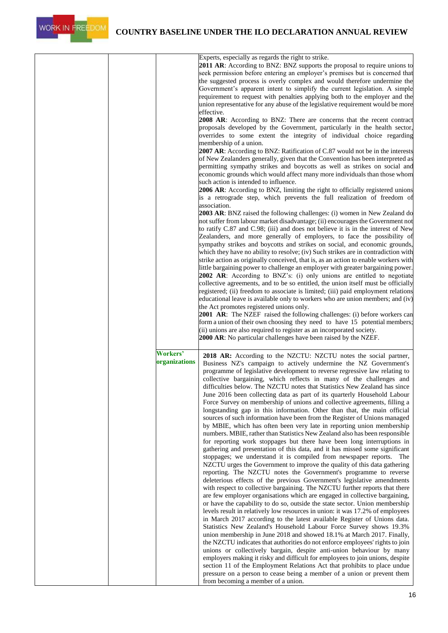

|  |                           | Experts, especially as regards the right to strike.<br>2011 AR: According to BNZ: BNZ supports the proposal to require unions to<br>seek permission before entering an employer's premises but is concerned that<br>the suggested process is overly complex and would therefore undermine the<br>Government's apparent intent to simplify the current legislation. A simple<br>requirement to request with penalties applying both to the employer and the<br>union representative for any abuse of the legislative requirement would be more<br>effective.<br>2008 AR: According to BNZ: There are concerns that the recent contract<br>proposals developed by the Government, particularly in the health sector,<br>overrides to some extent the integrity of individual choice regarding<br>membership of a union.<br>2007 AR: According to BNZ: Ratification of C.87 would not be in the interests<br>of New Zealanders generally, given that the Convention has been interpreted as<br>permitting sympathy strikes and boycotts as well as strikes on social and<br>economic grounds which would affect many more individuals than those whom<br>such action is intended to influence.<br>2006 AR: According to BNZ, limiting the right to officially registered unions<br>is a retrograde step, which prevents the full realization of freedom of<br>association.<br>2003 AR: BNZ raised the following challenges: (i) women in New Zealand do<br>not suffer from labour market disadvantage; (ii) encourages the Government not<br>to ratify C.87 and C.98; (iii) and does not believe it is in the interest of New<br>Zealanders, and more generally of employers, to face the possibility of<br>sympathy strikes and boycotts and strikes on social, and economic grounds,<br>which they have no ability to resolve; (iv) Such strikes are in contradiction with<br>strike action as originally conceived, that is, as an action to enable workers with<br>little bargaining power to challenge an employer with greater bargaining power.<br>2002 AR: According to BNZ's: (i) only unions are entitled to negotiate<br>collective agreements, and to be so entitled, the union itself must be officially<br>registered; (ii) freedom to associate is limited; (iii) paid employment relations<br>educational leave is available only to workers who are union members; and (iv)<br>the Act promotes registered unions only.<br><b>2001 AR:</b> The NZEF raised the following challenges: (i) before workers can<br>form a union of their own choosing they need to have 15 potential members;<br>(ii) unions are also required to register as an incorporated society.<br>2000 AR: No particular challenges have been raised by the NZEF. |
|--|---------------------------|-----------------------------------------------------------------------------------------------------------------------------------------------------------------------------------------------------------------------------------------------------------------------------------------------------------------------------------------------------------------------------------------------------------------------------------------------------------------------------------------------------------------------------------------------------------------------------------------------------------------------------------------------------------------------------------------------------------------------------------------------------------------------------------------------------------------------------------------------------------------------------------------------------------------------------------------------------------------------------------------------------------------------------------------------------------------------------------------------------------------------------------------------------------------------------------------------------------------------------------------------------------------------------------------------------------------------------------------------------------------------------------------------------------------------------------------------------------------------------------------------------------------------------------------------------------------------------------------------------------------------------------------------------------------------------------------------------------------------------------------------------------------------------------------------------------------------------------------------------------------------------------------------------------------------------------------------------------------------------------------------------------------------------------------------------------------------------------------------------------------------------------------------------------------------------------------------------------------------------------------------------------------------------------------------------------------------------------------------------------------------------------------------------------------------------------------------------------------------------------------------------------------------------------------------------------------------------------------------------------------------------------------------------------------------------------------------------------------------------------------------------|
|  | Workers'<br>organizations | 2018 AR: According to the NZCTU: NZCTU notes the social partner,<br>Business NZ's campaign to actively undermine the NZ Government's<br>programme of legislative development to reverse regressive law relating to<br>collective bargaining, which reflects in many of the challenges and<br>difficulties below. The NZCTU notes that Statistics New Zealand has since<br>June 2016 been collecting data as part of its quarterly Household Labour<br>Force Survey on membership of unions and collective agreements, filling a<br>longstanding gap in this information. Other than that, the main official<br>sources of such information have been from the Register of Unions managed<br>by MBIE, which has often been very late in reporting union membership<br>numbers. MBIE, rather than Statistics New Zealand also has been responsible<br>for reporting work stoppages but there have been long interruptions in<br>gathering and presentation of this data, and it has missed some significant<br>stoppages; we understand it is compiled from newspaper reports. The<br>NZCTU urges the Government to improve the quality of this data gathering<br>reporting. The NZCTU notes the Government's programme to reverse<br>deleterious effects of the previous Government's legislative amendments<br>with respect to collective bargaining. The NZCTU further reports that there<br>are few employer organisations which are engaged in collective bargaining,<br>or have the capability to do so, outside the state sector. Union membership<br>levels result in relatively low resources in union: it was 17.2% of employees<br>in March 2017 according to the latest available Register of Unions data.<br>Statistics New Zealand's Household Labour Force Survey shows 19.3%<br>union membership in June 2018 and showed 18.1% at March 2017. Finally,<br>the NZCTU indicates that authorities do not enforce employees' rights to join<br>unions or collectively bargain, despite anti-union behaviour by many<br>employers making it risky and difficult for employees to join unions, despite<br>section 11 of the Employment Relations Act that prohibits to place undue<br>pressure on a person to cease being a member of a union or prevent them<br>from becoming a member of a union.                                                                                                                                                                                                                                                                                                                                                                                                                                         |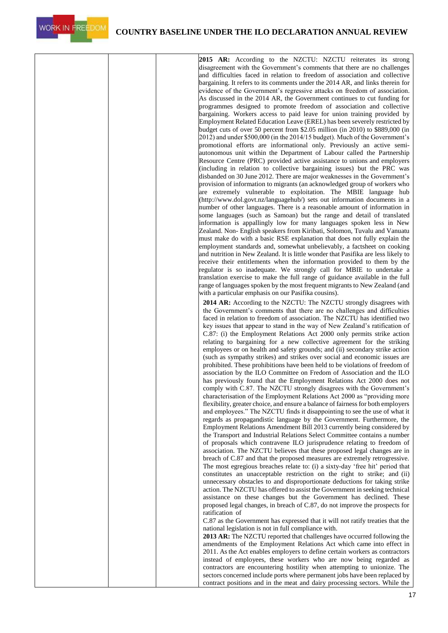

WORK IN FREEDOM

**2015 AR:** According to the NZCTU: NZCTU reiterates its strong disagreement with the Government's comments that there are no challenges and difficulties faced in relation to freedom of association and collective bargaining. It refers to its comments under the 2014 AR, and links therein for evidence of the Government's regressive attacks on freedom of association. As discussed in the 2014 AR, the Government continues to cut funding for programmes designed to promote freedom of association and collective bargaining. Workers access to paid leave for union training provided by Employment Related Education Leave (EREL) has been severely restricted by budget cuts of over 50 percent from \$2.05 million (in 2010) to \$889,000 (in 2012) and under \$500,000 (in the 2014/15 budget). Much of the Government's promotional efforts are informational only. Previously an active semiautonomous unit within the Department of Labour called the Partnership Resource Centre (PRC) provided active assistance to unions and employers (including in relation to collective bargaining issues) but the PRC was disbanded on 30 June 2012. There are major weaknesses in the Government's provision of information to migrants (an acknowledged group of workers who are extremely vulnerable to exploitation. The MBIE language hub [\(http://www.dol.govt.nz/languagehub/\)](http://www.dol.govt.nz/languagehub/)) sets out information documents in a number of other languages. There is a reasonable amount of information in some languages (such as Samoan) but the range and detail of translated information is appallingly low for many languages spoken less in New Zealand. Non- English speakers from Kiribati, Solomon, Tuvalu and Vanuatu must make do with a basic RSE explanation that does not fully explain the employment standards and, somewhat unbelievably, a factsheet on cooking and nutrition in New Zealand. It is little wonder that Pasifika are less likely to receive their entitlements when the information provided to them by the regulator is so inadequate. We strongly call for MBIE to undertake a translation exercise to make the full range of guidance available in the full range of languages spoken by the most frequent migrants to New Zealand (and with a particular emphasis on our Pasifika cousins). **2014 AR:** According to the NZCTU: The NZCTU strongly disagrees with the Government's comments that there are no challenges and difficulties faced in relation to freedom of association. The NZCTU has identified two key issues that appear to stand in the way of New Zealand's ratification of C.87: (i) the Employment Relations Act 2000 only permits strike action relating to bargaining for a new collective agreement for the striking

employees or on health and safety grounds; and (ii) secondary strike action (such as sympathy strikes) and strikes over social and economic issues are prohibited. These prohibitions have been held to be violations of freedom of association by the ILO Committee on Fredom of Association and the ILO has previously found that the Employment Relations Act 2000 does not comply with C.87. The NZCTU strongly disagrees with the Government's characterisation of the Employment Relations Act 2000 as "providing more flexibility, greater choice, and ensure a balance of fairness for both employers and employees." The NZCTU finds it disappointing to see the use of what it regards as propagandistic language by the Government. Furthermore, the Employment Relations Amendment Bill 2013 currently being considered by the Transport and Industrial Relations Select Committee contains a number of proposals which contravene ILO jurisprudence relating to freedom of association. The NZCTU believes that these proposed legal changes are in breach of C.87 and that the proposed measures are extremely retrogressive. The most egregious breaches relate to: (i) a sixty-day 'free hit' period that constitutes an unacceptable restriction on the right to strike; and (ii) unnecessary obstacles to and disproportionate deductions for taking strike action. The NZCTU has offered to assist the Government in seeking technical assistance on these changes but the Government has declined. These proposed legal changes, in breach of C.87, do not improve the prospects for ratification of

C.87 as the Government has expressed that it will not ratify treaties that the national legislation is not in full compliance with.

**2013 AR:** The NZCTU reported that challenges have occurred following the amendments of the Employment Relations Act which came into effect in 2011. As the Act enables employers to define certain workers as contractors instead of employees, these workers who are now being regarded as contractors are encountering hostility when attempting to unionize. The sectors concerned include ports where permanent jobs have been replaced by contract positions and in the meat and dairy processing sectors. While the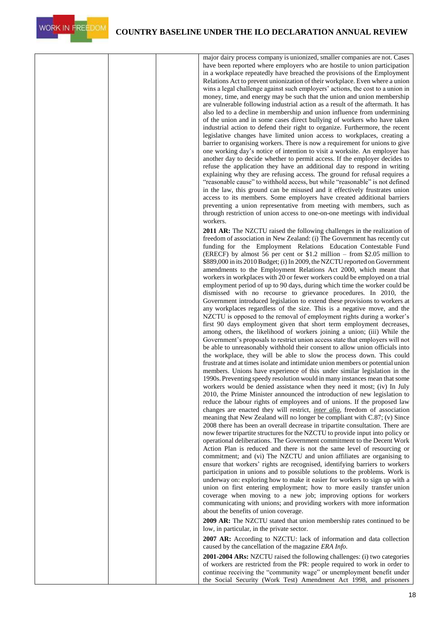

major dairy process company is unionized, smaller companies are not. Cases have been reported where employers who are hostile to union participation in a workplace repeatedly have breached the provisions of the Employment Relations Act to prevent unionization of their workplace. Even where a union wins a legal challenge against such employers' actions, the cost to a union in money, time, and energy may be such that the union and union membership are vulnerable following industrial action as a result of the aftermath. It has also led to a decline in membership and union influence from undermining of the union and in some cases direct bullying of workers who have taken industrial action to defend their right to organize. Furthermore, the recent legislative changes have limited union access to workplaces, creating a barrier to organising workers. There is now a requirement for unions to give one working day's notice of intention to visit a worksite. An employer has another day to decide whether to permit access. If the employer decides to refuse the application they have an additional day to respond in writing explaining why they are refusing access. The ground for refusal requires a "reasonable cause" to withhold access, but while "reasonable" is not defined in the law, this ground can be misused and it effectively frustrates union access to its members. Some employers have created additional barriers preventing a union representative from meeting with members, such as through restriction of union access to one-on-one meetings with individual workers.

**2011 AR:** The NZCTU raised the following challenges in the realization of freedom of association in New Zealand: (i) The Government has recently cut funding for the Employment Relations Education Contestable Fund (ERECF) by almost 56 per cent or \$1.2 million – from \$2.05 million to \$889,000 in its 2010 Budget; (i) In 2009, the NZCTU reported on Government amendments to the Employment Relations Act 2000, which meant that workers in workplaces with 20 or fewer workers could be employed on a trial employment period of up to 90 days, during which time the worker could be dismissed with no recourse to grievance procedures. In 2010, the Government introduced legislation to extend these provisions to workers at any workplaces regardless of the size. This is a negative move, and the NZCTU is opposed to the removal of employment rights during a worker's first 90 days employment given that short term employment decreases, among others, the likelihood of workers joining a union; (iii) While the Government's proposals to restrict union access state that employers will not be able to unreasonably withhold their consent to allow union officials into the workplace, they will be able to slow the process down. This could frustrate and at times isolate and intimidate union members or potential union members. Unions have experience of this under similar legislation in the 1990s.Preventing speedy resolution would in many instances mean that some workers would be denied assistance when they need it most; (iv) In July 2010, the Prime Minister announced the introduction of new legislation to reduce the labour rights of employees and of unions. If the proposed law changes are enacted they will restrict, *inter alia*, freedom of association meaning that New Zealand will no longer be compliant with C.87; (v) Since 2008 there has been an overall decrease in tripartite consultation. There are now fewer tripartite structures for the NZCTU to provide input into policy or operational deliberations. The Government commitment to the Decent Work Action Plan is reduced and there is not the same level of resourcing or commitment; and (vi) The NZCTU and union affiliates are organising to ensure that workers' rights are recognised, identifying barriers to workers participation in unions and to possible solutions to the problems. Work is underway on: exploring how to make it easier for workers to sign up with a union on first entering employment; how to more easily transfer union coverage when moving to a new job; improving options for workers communicating with unions; and providing workers with more information about the benefits of union coverage.

**2009 AR:** The NZCTU stated that union membership rates continued to be low, in particular, in the private sector.

**2007 AR:** According to NZCTU: lack of information and data collection caused by the cancellation of the magazine *ERA Info.*

**2001-2004 ARs:** NZCTU raised the following challenges: (i) two categories of workers are restricted from the PR: people required to work in order to continue receiving the "community wage" or unemployment benefit under the Social Security (Work Test) Amendment Act 1998, and prisoners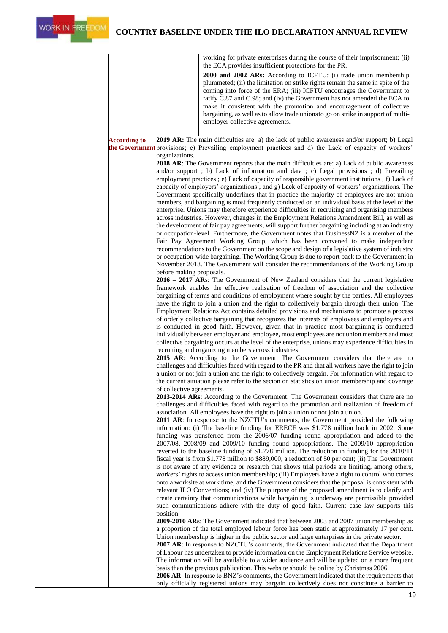|                     |                           | working for private enterprises during the course of their imprisonment; (ii)<br>the ECA provides insufficient protections for the PR.                                                                   |
|---------------------|---------------------------|----------------------------------------------------------------------------------------------------------------------------------------------------------------------------------------------------------|
|                     |                           | 2000 and 2002 ARs: According to ICFTU: (i) trade union membership                                                                                                                                        |
|                     |                           | plummeted; (ii) the limitation on strike rights remain the same in spite of the                                                                                                                          |
|                     |                           | coming into force of the ERA; (iii) ICFTU encourages the Government to                                                                                                                                   |
|                     |                           | ratify C.87 and C.98; and (iv) the Government has not amended the ECA to<br>make it consistent with the promotion and encouragement of collective                                                        |
|                     |                           | bargaining, as well as to allow trade unions to go on strike in support of multi-                                                                                                                        |
|                     |                           | employer collective agreements.                                                                                                                                                                          |
|                     |                           |                                                                                                                                                                                                          |
| <b>According to</b> |                           | 2019 AR: The main difficulties are: a) the lack of public awareness and/or support; b) Legal<br>the Government provisions; c) Prevailing employment practices and d) the Lack of capacity of workers'    |
|                     | organizations.            |                                                                                                                                                                                                          |
|                     |                           | <b>2018 AR:</b> The Government reports that the main difficulties are: a) Lack of public awareness                                                                                                       |
|                     |                           | and/or support; b) Lack of information and data; c) Legal provisions; d) Prevailing                                                                                                                      |
|                     |                           | employment practices ; e) Lack of capacity of responsible government institutions ; f) Lack of<br>capacity of employers' organizations; and g) Lack of capacity of workers' organizations. The           |
|                     |                           | Government specifically underlines that in practice the majority of employees are not union                                                                                                              |
|                     |                           | members, and bargaining is most frequently conducted on an individual basis at the level of the                                                                                                          |
|                     |                           | enterprise. Unions may therefore experience difficulties in recruiting and organising members<br>across industries. However, changes in the Employment Relations Amendment Bill, as well as              |
|                     |                           | the development of fair pay agreements, will support further bargaining including at an industry                                                                                                         |
|                     |                           | or occupation-level. Furthermore, the Government notes that BusinessNZ is a member of the                                                                                                                |
|                     |                           | Fair Pay Agreement Working Group, which has been convened to make independent<br>recommendations to the Government on the scope and design of a legislative system of industry                           |
|                     |                           | or occupation-wide bargaining. The Working Group is due to report back to the Government in                                                                                                              |
|                     |                           | November 2018. The Government will consider the recommendations of the Working Group                                                                                                                     |
|                     | before making proposals.  | 2016 – 2017 ARs: The Government of New Zealand considers that the current legislative                                                                                                                    |
|                     |                           | framework enables the effective realisation of freedom of association and the collective                                                                                                                 |
|                     |                           | bargaining of terms and conditions of employment where sought by the parties. All employees                                                                                                              |
|                     |                           | have the right to join a union and the right to collectively bargain through their union. The<br>Employment Relations Act contains detailed provisions and mechanisms to promote a process               |
|                     |                           | of orderly collective bargaining that recognizes the interests of employees and employers and                                                                                                            |
|                     |                           | is conducted in good faith. However, given that in practice most bargaining is conducted                                                                                                                 |
|                     |                           | individually between employer and employee, most employees are not union members and most<br>collective bargaining occurs at the level of the enterprise, unions may experience difficulties in          |
|                     |                           | recruiting and organizing members across industries                                                                                                                                                      |
|                     |                           | 2015 AR: According to the Government: The Government considers that there are no                                                                                                                         |
|                     |                           | challenges and difficulties faced with regard to the PR and that all workers have the right to join<br>a union or not join a union and the right to collectively bargain. For information with regard to |
|                     |                           | the current situation please refer to the secion on statistics on union membership and coverage                                                                                                          |
|                     | of collective agreements. |                                                                                                                                                                                                          |
|                     |                           | 2013-2014 ARs: According to the Government: The Government considers that there are no<br>challenges and difficulties faced with regard to the promotion and realization of freedom of                   |
|                     |                           | association. All employees have the right to join a union or not join a union.                                                                                                                           |
|                     |                           | <b>2011 AR:</b> In response to the NZCTU's comments, the Government provided the following                                                                                                               |
|                     |                           | information: (i) The baseline funding for ERECF was \$1.778 million back in 2002. Some<br>funding was transferred from the 2006/07 funding round appropriation and added to the                          |
|                     |                           | 2007/08, 2008/09 and 2009/10 funding round appropriations. The 2009/10 appropriation                                                                                                                     |
|                     |                           | reverted to the baseline funding of \$1.778 million. The reduction in funding for the 2010/11                                                                                                            |
|                     |                           | fiscal year is from \$1.778 million to \$889,000, a reduction of 50 per cent; (ii) The Government<br>is not aware of any evidence or research that shows trial periods are limiting, among others,       |
|                     |                           | workers' rights to access union membership; (iii) Employers have a right to control who comes                                                                                                            |
|                     |                           | onto a worksite at work time, and the Government considers that the proposal is consistent with                                                                                                          |
|                     |                           | relevant ILO Conventions; and (iv) The purpose of the proposed amendment is to clarify and<br>create certainty that communications while bargaining is underway are permissible provided                 |
|                     |                           | such communications adhere with the duty of good faith. Current case law supports this                                                                                                                   |
|                     | position.                 |                                                                                                                                                                                                          |
|                     |                           | <b>2009-2010 ARs:</b> The Government indicated that between 2003 and 2007 union membership as<br>a proportion of the total employed labour force has been static at approximately 17 per cent.           |
|                     |                           | Union membership is higher in the public sector and large enterprises in the private sector.                                                                                                             |
|                     |                           | 2007 AR: In response to NZCTU's comments, the Government indicated that the Department                                                                                                                   |
|                     |                           | of Labour has undertaken to provide information on the Employment Relations Service website.<br>The information will be available to a wider audience and will be updated on a more frequent             |
|                     |                           | basis than the previous publication. This website should be online by Christmas 2006.                                                                                                                    |
|                     |                           | 2006 AR: In response to BNZ's comments, the Government indicated that the requirements that                                                                                                              |
|                     |                           | only officially registered unions may bargain collectively does not constitute a barrier to                                                                                                              |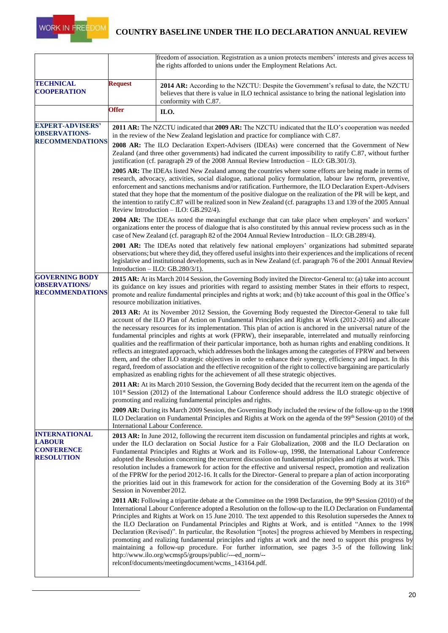

|                                                                                 |                                                                                                                                                                                                                                                                                                                                                                                                                                                                                                                                                                                                                                                                                                                                                                                                                                                                                                                                                                                                                      | freedom of association. Registration as a union protects members' interests and gives access to<br>the rights afforded to unions under the Employment Relations Act.                                                                                                                                                                                                                                           |  |  |  |
|---------------------------------------------------------------------------------|----------------------------------------------------------------------------------------------------------------------------------------------------------------------------------------------------------------------------------------------------------------------------------------------------------------------------------------------------------------------------------------------------------------------------------------------------------------------------------------------------------------------------------------------------------------------------------------------------------------------------------------------------------------------------------------------------------------------------------------------------------------------------------------------------------------------------------------------------------------------------------------------------------------------------------------------------------------------------------------------------------------------|----------------------------------------------------------------------------------------------------------------------------------------------------------------------------------------------------------------------------------------------------------------------------------------------------------------------------------------------------------------------------------------------------------------|--|--|--|
| <b>TECHNICAL</b><br><b>COOPERATION</b>                                          | <b>Request</b>                                                                                                                                                                                                                                                                                                                                                                                                                                                                                                                                                                                                                                                                                                                                                                                                                                                                                                                                                                                                       | 2014 AR: According to the NZCTU: Despite the Government's refusal to date, the NZCTU<br>believes that there is value in ILO technical assistance to bring the national legislation into<br>conformity with C.87.                                                                                                                                                                                               |  |  |  |
|                                                                                 | <b>Offer</b>                                                                                                                                                                                                                                                                                                                                                                                                                                                                                                                                                                                                                                                                                                                                                                                                                                                                                                                                                                                                         | ILO.                                                                                                                                                                                                                                                                                                                                                                                                           |  |  |  |
| <b>EXPERT-ADVISERS'</b><br><b>OBSERVATIONS-</b><br><b>RECOMMENDATIONS</b>       |                                                                                                                                                                                                                                                                                                                                                                                                                                                                                                                                                                                                                                                                                                                                                                                                                                                                                                                                                                                                                      | 2011 AR: The NZCTU indicated that 2009 AR: The NZCTU indicated that the ILO's cooperation was needed<br>in the review of the New Zealand legislation and practice for compliance with C.87.<br>2008 AR: The ILO Declaration Expert-Advisers (IDEAs) were concerned that the Government of New<br>Zealand (and three other governments) had indicated the current impossibility to ratify C.87, without further |  |  |  |
|                                                                                 | justification (cf. paragraph 29 of the 2008 Annual Review Introduction - ILO: GB.301/3).<br>2005 AR: The IDEAs listed New Zealand among the countries where some efforts are being made in terms of<br>research, advocacy, activities, social dialogue, national policy formulation, labour law reform, preventive,<br>enforcement and sanctions mechanisms and/or ratification. Furthermore, the ILO Declaration Expert-Advisers<br>stated that they hope that the momentum of the positive dialogue on the realization of the PR will be kept, and<br>the intention to ratify C.87 will be realized soon in New Zealand (cf. paragraphs 13 and 139 of the 2005 Annual<br>Review Introduction - ILO: GB.292/4).                                                                                                                                                                                                                                                                                                     |                                                                                                                                                                                                                                                                                                                                                                                                                |  |  |  |
|                                                                                 | <b>2004 AR:</b> The IDEAs noted the meaningful exchange that can take place when employers' and workers'<br>organizations enter the process of dialogue that is also constituted by this annual review process such as in the<br>case of New Zealand (cf. paragraph 82 of the 2004 Annual Review Introduction - ILO: GB.289/4).                                                                                                                                                                                                                                                                                                                                                                                                                                                                                                                                                                                                                                                                                      |                                                                                                                                                                                                                                                                                                                                                                                                                |  |  |  |
|                                                                                 | 2001 AR: The IDEAs noted that relatively few national employers' organizations had submitted separate<br>observations; but where they did, they offered useful insights into their experiences and the implications of recent<br>legislative and institutional developments, such as in New Zealand (cf. paragraph 76 of the 2001 Annual Review<br>Introduction $-$ ILO: GB.280/3/1).                                                                                                                                                                                                                                                                                                                                                                                                                                                                                                                                                                                                                                |                                                                                                                                                                                                                                                                                                                                                                                                                |  |  |  |
| <b>GOVERNING BODY</b><br><b>OBSERVATIONS/</b><br><b>RECOMMENDATIONS</b>         | 2015 AR: At its March 2014 Session, the Governing Body invited the Director-General to: (a) take into account<br>its guidance on key issues and priorities with regard to assisting member States in their efforts to respect,<br>promote and realize fundamental principles and rights at work; and (b) take account of this goal in the Office's<br>resource mobilization initiatives.                                                                                                                                                                                                                                                                                                                                                                                                                                                                                                                                                                                                                             |                                                                                                                                                                                                                                                                                                                                                                                                                |  |  |  |
|                                                                                 | 2013 AR: At its November 2012 Session, the Governing Body requested the Director-General to take full<br>account of the ILO Plan of Action on Fundamental Principles and Rights at Work (2012-2016) and allocate<br>the necessary resources for its implementation. This plan of action is anchored in the universal nature of the<br>fundamental principles and rights at work (FPRW), their inseparable, interrelated and mutually reinforcing<br>qualities and the reaffirmation of their particular importance, both as human rights and enabling conditions. It<br>reflects an integrated approach, which addresses both the linkages among the categories of FPRW and between<br>them, and the other ILO strategic objectives in order to enhance their synergy, efficiency and impact. In this<br>regard, freedom of association and the effective recognition of the right to collective bargaining are particularly<br>emphasized as enabling rights for the achievement of all these strategic objectives. |                                                                                                                                                                                                                                                                                                                                                                                                                |  |  |  |
|                                                                                 | 2011 AR: At its March 2010 Session, the Governing Body decided that the recurrent item on the agenda of the<br>101 <sup>st</sup> Session (2012) of the International Labour Conference should address the ILO strategic objective of<br>promoting and realizing fundamental principles and rights.                                                                                                                                                                                                                                                                                                                                                                                                                                                                                                                                                                                                                                                                                                                   |                                                                                                                                                                                                                                                                                                                                                                                                                |  |  |  |
|                                                                                 | 2009 AR: During its March 2009 Session, the Governing Body included the review of the follow-up to the 1998<br>ILO Declaration on Fundamental Principles and Rights at Work on the agenda of the 99th Session (2010) of the<br>International Labour Conference.                                                                                                                                                                                                                                                                                                                                                                                                                                                                                                                                                                                                                                                                                                                                                      |                                                                                                                                                                                                                                                                                                                                                                                                                |  |  |  |
| <b>INTERNATIONAL</b><br><b>LABOUR</b><br><b>CONFERENCE</b><br><b>RESOLUTION</b> | 2013 AR: In June 2012, following the recurrent item discussion on fundamental principles and rights at work,<br>under the ILO declaration on Social Justice for a Fair Globalization, 2008 and the ILO Declaration on<br>Fundamental Principles and Rights at Work and its Follow-up, 1998, the International Labour Conference<br>adopted the Resolution concerning the recurrent discussion on fundamental principles and rights at work. This<br>resolution includes a framework for action for the effective and universal respect, promotion and realization<br>of the FPRW for the period 2012-16. It calls for the Director-General to prepare a plan of action incorporating<br>the priorities laid out in this framework for action for the consideration of the Governing Body at its 316 <sup>th</sup><br>Session in November 2012.                                                                                                                                                                       |                                                                                                                                                                                                                                                                                                                                                                                                                |  |  |  |
|                                                                                 | 2011 AR: Following a tripartite debate at the Committee on the 1998 Declaration, the 99th Session (2010) of the<br>International Labour Conference adopted a Resolution on the follow-up to the ILO Declaration on Fundamental<br>Principles and Rights at Work on 15 June 2010. The text appended to this Resolution supersedes the Annex to<br>the ILO Declaration on Fundamental Principles and Rights at Work, and is entitled "Annex to the 1998<br>Declaration (Revised)". In particular, the Resolution "[notes] the progress achieved by Members in respecting,<br>promoting and realizing fundamental principles and rights at work and the need to support this progress by<br>maintaining a follow-up procedure. For further information, see pages 3-5 of the following link:<br>http://www.ilo.org/wcmsp5/groups/public/---ed_norm/--<br>relconf/documents/meetingdocument/wcms_143164.pdf.                                                                                                             |                                                                                                                                                                                                                                                                                                                                                                                                                |  |  |  |